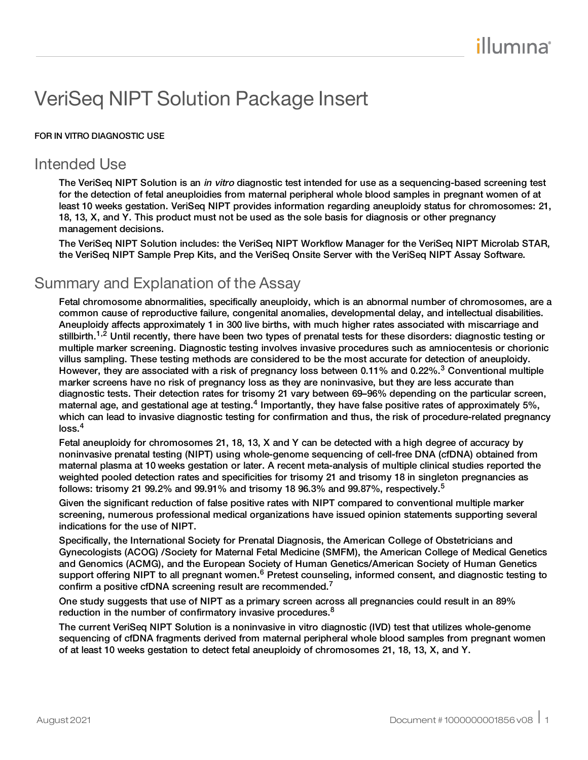# VeriSeq NIPT Solution Package Insert

#### FOR IN VITRO DIAGNOSTIC USE

## Intended Use

The VeriSeq NIPT Solution is an *in vitro* diagnostic test intended for use as a sequencing-based screening test for the detection of fetal aneuploidies from maternal peripheral whole blood samples in pregnant women of at least 10 weeks gestation. VeriSeq NIPT provides information regarding aneuploidy status for chromosomes: 21, 18, 13, X, and Y. This product must not be used as the sole basis for diagnosis or other pregnancy management decisions.

The VeriSeq NIPT Solution includes: the VeriSeq NIPT Workflow Manager for the VeriSeq NIPT Microlab STAR, the VeriSeq NIPT Sample Prep Kits, and the VeriSeq Onsite Server with the VeriSeq NIPT Assay Software.

## Summary and Explanation of the Assay

Fetal chromosome abnormalities, specifically aneuploidy, which is an abnormal number of chromosomes, are a common cause of reproductive failure, congenital anomalies, developmental delay, and intellectual disabilities. Aneuploidy affects approximately 1 in 300 live births, with much higher rates associated with miscarriage and stillbirth.<sup>1,2</sup> Until recently, there have been two types of prenatal tests for these disorders: diagnostic testing or multiple marker screening. Diagnostic testing involves invasive procedures such as amniocentesis or chorionic villus sampling. These testing methods are considered to be the most accurate for detection of aneuploidy. However, they are associated with a risk of pregnancy loss between 0.11% and 0.22%.<sup>3</sup> Conventional multiple marker screens have no risk of pregnancy loss as they are noninvasive, but they are less accurate than diagnostic tests. Their detection rates for trisomy 21 vary between 69–96% depending on the particular screen, maternal age, and gestational age at testing.<sup>4</sup> Importantly, they have false positive rates of approximately 5%, which can lead to invasive diagnostic testing for confirmation and thus, the risk of procedure-related pregnancy  $loss.<sup>4</sup>$ 

Fetal aneuploidy for chromosomes 21, 18, 13, X and Y can be detected with a high degree of accuracy by noninvasive prenatal testing (NIPT) using whole-genome sequencing of cell-free DNA (cfDNA) obtained from maternal plasma at 10 weeks gestation or later. A recent meta-analysis of multiple clinical studies reported the weighted pooled detection rates and specificities for trisomy 21 and trisomy 18 in singleton pregnancies as follows: trisomy 21 99.2% and 99.91% and trisomy 18 96.3% and 99.87%, respectively.<sup>5</sup>

Given the significant reduction of false positive rates with NIPT compared to conventional multiple marker screening, numerous professional medical organizations have issued opinion statements supporting several indications for the use of NIPT.

Specifically, the International Society for Prenatal Diagnosis, the American College of Obstetricians and Gynecologists (ACOG) /Society for Maternal Fetal Medicine (SMFM), the American College of Medical Genetics and Genomics (ACMG), and the European Society of Human Genetics/American Society of Human Genetics support offering NIPT to all pregnant women.<sup>6</sup> Pretest counseling, informed consent, and diagnostic testing to confirm a positive cfDNA screening result are recommended.<sup>7</sup>

One study suggests that use of NIPT as a primary screen across all pregnancies could result in an 89% reduction in the number of confirmatory invasive procedures.<sup>8</sup>

The current VeriSeq NIPT Solution is a noninvasive in vitro diagnostic (IVD) test that utilizes whole-genome sequencing of cfDNA fragments derived from maternal peripheral whole blood samples from pregnant women of at least 10 weeks gestation to detect fetal aneuploidy of chromosomes 21, 18, 13, X, and Y.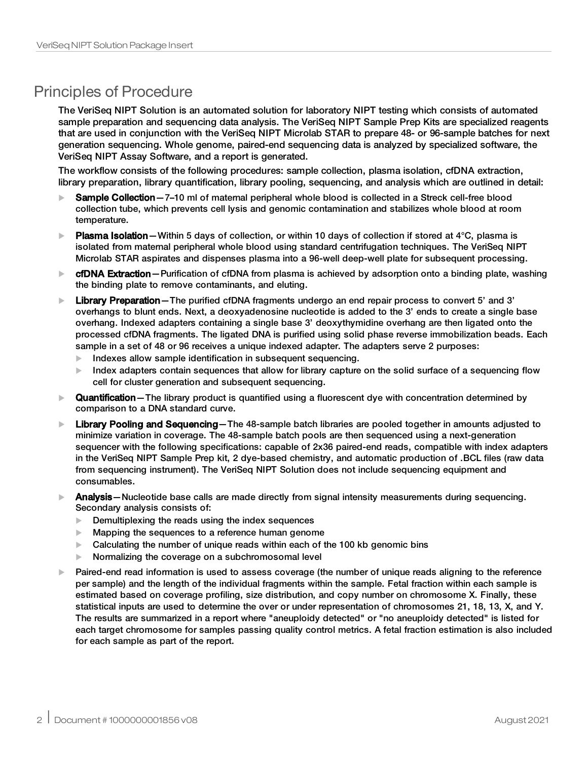## Principles of Procedure

The VeriSeq NIPT Solution is an automated solution for laboratory NIPT testing which consists of automated sample preparation and sequencing data analysis. The VeriSeq NIPT Sample Prep Kits are specialized reagents that are used in conjunction with the VeriSeq NIPT Microlab STAR to prepare 48- or 96-sample batches for next generation sequencing. Whole genome, paired-end sequencing data is analyzed by specialized software, the VeriSeq NIPT Assay Software, and a report is generated.

The workflow consists of the following procedures: sample collection, plasma isolation, cfDNA extraction, library preparation, library quantification, library pooling, sequencing, and analysis which are outlined in detail:

- $\blacktriangleright$  Sample Collection 7–10 ml of maternal peripheral whole blood is collected in a Streck cell-free blood collection tube, which prevents cell lysis and genomic contamination and stabilizes whole blood at room temperature.
- **Plasma Isolation**—Within 5 days of collection, or within 10 days of collection if stored at 4°C, plasma is isolated from maternal peripheral whole blood using standard centrifugation techniques. The VeriSeq NIPT Microlab STAR aspirates and dispenses plasma into a 96-well deep-well plate for subsequent processing.
- $\triangleright$  cfDNA Extraction Purification of cfDNA from plasma is achieved by adsorption onto a binding plate, washing the binding plate to remove contaminants, and eluting.
- $\blacktriangleright$  Library Preparation The purified cfDNA fragments undergo an end repair process to convert 5' and 3' overhangs to blunt ends. Next, a deoxyadenosine nucleotide is added to the 3' ends to create a single base overhang. Indexed adapters containing a single base 3' deoxythymidine overhang are then ligated onto the processed cfDNA fragments. The ligated DNA is purified using solid phase reverse immobilization beads. Each sample in a set of 48 or 96 receives a unique indexed adapter. The adapters serve 2 purposes:
	- $\blacktriangleright$  Indexes allow sample identification in subsequent sequencing.
	- Index adapters contain sequences that allow for library capture on the solid surface of a sequencing flow cell for cluster generation and subsequent sequencing.
- **Quantification** The library product is quantified using a fluorescent dye with concentration determined by comparison to a DNA standard curve.
- $\blacktriangleright$  Library Pooling and Sequencing—The 48-sample batch libraries are pooled together in amounts adjusted to minimize variation in coverage. The 48-sample batch pools are then sequenced using a next-generation sequencer with the following specifications: capable of 2x36 paired-end reads, compatible with index adapters in the VeriSeq NIPT Sample Prep kit, 2 dye-based chemistry, and automatic production of .BCL files (raw data from sequencing instrument). The VeriSeq NIPT Solution does not include sequencing equipment and consumables.
- $\blacktriangleright$  Analysis—Nucleotide base calls are made directly from signal intensity measurements during sequencing. Secondary analysis consists of:
	- $\blacktriangleright$  Demultiplexing the reads using the index sequences
	- $\blacktriangleright$  Mapping the sequences to a reference human genome
	- $\blacktriangleright$  Calculating the number of unique reads within each of the 100 kb genomic bins
	- Normalizing the coverage on a subchromosomal level
- $\blacktriangleright$  Paired-end read information is used to assess coverage (the number of unique reads aligning to the reference per sample) and the length of the individual fragments within the sample. Fetal fraction within each sample is estimated based on coverage profiling, size distribution, and copy number on chromosome X. Finally, these statistical inputs are used to determine the over or under representation of chromosomes 21, 18, 13, X, and Y. The results are summarized in a report where "aneuploidy detected" or "no aneuploidy detected" is listed for each target chromosome for samples passing quality control metrics. A fetal fraction estimation is also included for each sample as part of the report.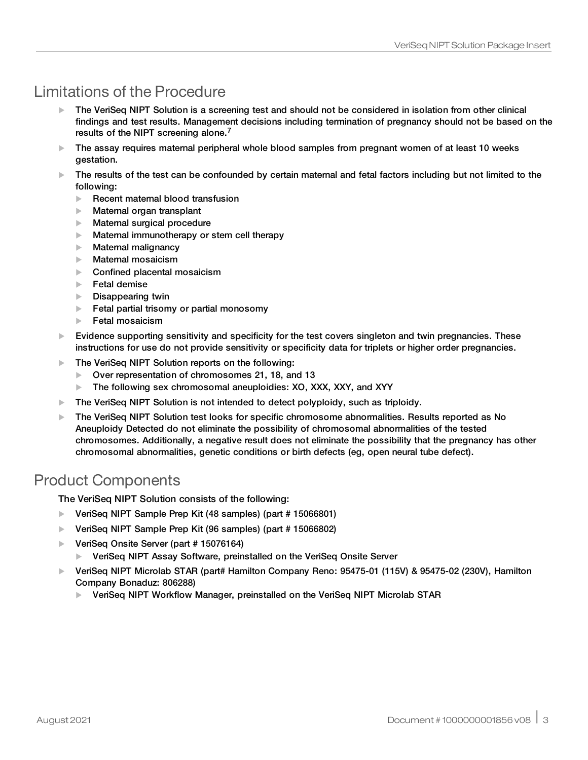## Limitations of the Procedure

- $\blacktriangleright$  The VeriSeq NIPT Solution is a screening test and should not be considered in isolation from other clinical findings and test results. Management decisions including termination of pregnancy should not be based on the results of the NIPT screening alone.<sup>7</sup>
- $\blacktriangleright$  The assay requires matemal peripheral whole blood samples from pregnant women of at least 10 weeks gestation.
- $\blacktriangleright$  The results of the test can be confounded by certain maternal and fetal factors including but not limited to the following:
	- $\blacktriangleright$  Recent maternal blood transfusion
	- $\blacktriangleright$  Maternal organ transplant
	- $\blacktriangleright$  Maternal surgical procedure
	- $\blacktriangleright$  Maternal immunotherapy or stem cell therapy
	- $\blacktriangleright$  Maternal malignancy
	- $\blacktriangleright$  Maternal mosaicism
	- $\blacktriangleright$  Confined placental mosaicism
	- **Fetal demise**
	- $\blacktriangleright$  Disappearing twin
	- $\blacktriangleright$  Fetal partial trisomy or partial monosomy
	- $\blacktriangleright$  Fetal mosaicism
- $\blacktriangleright$  Evidence supporting sensitivity and specificity for the test covers singleton and twin pregnancies. These instructions for use do not provide sensitivity or specificity data for triplets or higher order pregnancies.
- $\blacktriangleright$  The VeriSeq NIPT Solution reports on the following:
	- Over representation of chromosomes 21, 18, and 13
	- $\blacktriangleright$  The following sex chromosomal aneuploidies: XO, XXX, XXY, and XYY
- $\blacktriangleright$  The VeriSeq NIPT Solution is not intended to detect polyploidy, such as triploidy.
- $\blacktriangleright$  The VeriSeq NIPT Solution test looks for specific chromosome abnormalities. Results reported as No Aneuploidy Detected do not eliminate the possibility of chromosomal abnormalities of the tested chromosomes. Additionally, a negative result does not eliminate the possibility that the pregnancy has other chromosomal abnormalities, genetic conditions or birth defects (eg, open neural tube defect).

## Product Components

The VeriSeq NIPT Solution consists of the following:

- $\blacktriangleright$  VeriSeq NIPT Sample Prep Kit (48 samples) (part # 15066801)
- ▶ VeriSeq NIPT Sample Prep Kit (96 samples) (part # 15066802)
- $\blacktriangleright$  VeriSeq Onsite Server (part # 15076164)
	- **EXECT** VeriSeg NIPT Assay Software, preinstalled on the VeriSeg Onsite Server
- $\blacktriangleright$  VeriSeg NIPT Microlab STAR (part# Hamilton Company Reno: 95475-01 (115V) & 95475-02 (230V), Hamilton Company Bonaduz: 806288)
	- ▶ VeriSeq NIPT Workflow Manager, preinstalled on the VeriSeq NIPT Microlab STAR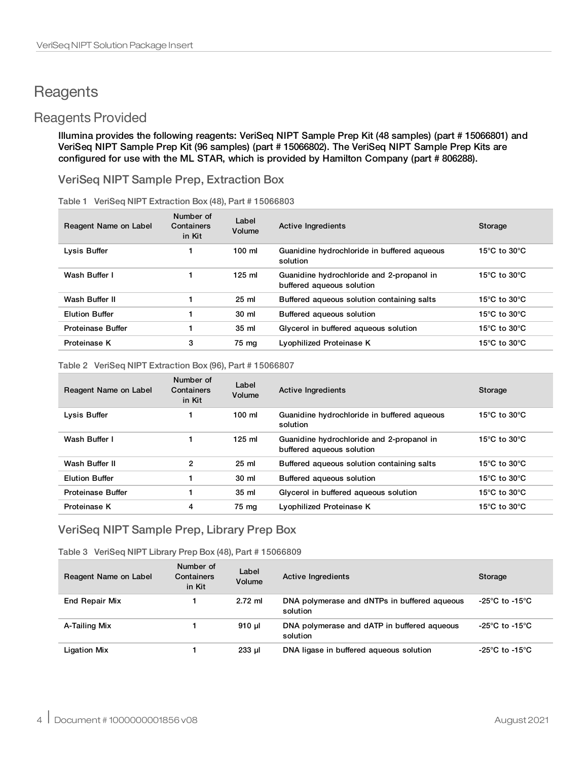## <span id="page-3-0"></span>**Reagents**

## Reagents Provided

Illumina provides the following reagents: VeriSeq NIPT Sample Prep Kit (48 samples) (part # 15066801) and VeriSeq NIPT Sample Prep Kit (96 samples) (part # 15066802). The VeriSeq NIPT Sample Prep Kits are configured for use with the ML STAR, which is provided by Hamilton Company (part # 806288).

VeriSeq NIPT Sample Prep, Extraction Box

| Reagent Name on Label    | Number of<br>Containers<br>in Kit | Label<br>Volume | Active Ingredients                                                     | Storage                                            |
|--------------------------|-----------------------------------|-----------------|------------------------------------------------------------------------|----------------------------------------------------|
| Lysis Buffer             |                                   | $100$ ml        | Guanidine hydrochloride in buffered aqueous<br>solution                | 15 $\degree$ C to 30 $\degree$ C                   |
| Wash Buffer I            |                                   | $125$ ml        | Guanidine hydrochloride and 2-propanol in<br>buffered aqueous solution | 15 $\degree$ C to 30 $\degree$ C                   |
| Wash Buffer II           |                                   | $25$ ml         | Buffered aqueous solution containing salts                             | 15 $\mathrm{^{\circ}C}$ to 30 $\mathrm{^{\circ}C}$ |
| <b>Elution Buffer</b>    |                                   | 30 ml           | Buffered agueous solution                                              | 15 $\degree$ C to 30 $\degree$ C                   |
| <b>Proteinase Buffer</b> |                                   | 35 ml           | Glycerol in buffered aqueous solution                                  | 15 $\degree$ C to 30 $\degree$ C                   |
| Proteinase K             | 3                                 | 75 ma           | Lyophilized Proteinase K                                               | 15 $\degree$ C to 30 $\degree$ C                   |

#### Table 2 VeriSeq NIPT Extraction Box (96), Part # 15066807

| Reagent Name on Label    | Number of<br>Containers<br>in Kit | Label<br>Volume  | Active Ingredients                                                     | Storage                                            |
|--------------------------|-----------------------------------|------------------|------------------------------------------------------------------------|----------------------------------------------------|
| Lysis Buffer             |                                   | $100 \text{ ml}$ | Guanidine hydrochloride in buffered aqueous<br>solution                | 15 $\mathrm{^{\circ}C}$ to 30 $\mathrm{^{\circ}C}$ |
| Wash Buffer I            |                                   | $125$ ml         | Guanidine hydrochloride and 2-propanol in<br>buffered aqueous solution | 15 $\mathrm{^{\circ}C}$ to 30 $\mathrm{^{\circ}C}$ |
| Wash Buffer II           | 2                                 | $25$ ml          | Buffered aqueous solution containing salts                             | 15 $\mathrm{^{\circ}C}$ to 30 $\mathrm{^{\circ}C}$ |
| <b>Elution Buffer</b>    |                                   | 30 ml            | Buffered aqueous solution                                              | 15 $\mathrm{^{\circ}C}$ to 30 $\mathrm{^{\circ}C}$ |
| <b>Proteinase Buffer</b> |                                   | 35 <sub>ml</sub> | Glycerol in buffered aqueous solution                                  | 15 $\mathrm{^{\circ}C}$ to 30 $\mathrm{^{\circ}C}$ |
| Proteinase K             | 4                                 | 75 mg            | Lyophilized Proteinase K                                               | 15 $\mathrm{^{\circ}C}$ to 30 $\mathrm{^{\circ}C}$ |

### VeriSeq NIPT Sample Prep, Library Prep Box

Table 3 VeriSeq NIPT Library Prep Box (48), Part # 15066809

| Reagent Name on Label | Number of<br>Containers<br>in Kit | Label<br>Volume | <b>Active Ingredients</b>                                | Storage        |
|-----------------------|-----------------------------------|-----------------|----------------------------------------------------------|----------------|
| <b>End Repair Mix</b> |                                   | $2.72$ ml       | DNA polymerase and dNTPs in buffered aqueous<br>solution | -25°C to -15°C |
| A-Tailing Mix         |                                   | 910 µl          | DNA polymerase and dATP in buffered aqueous<br>solution  | -25°C to -15°C |
| <b>Ligation Mix</b>   |                                   | $233$ $\mu$     | DNA ligase in buffered agueous solution                  | -25°C to -15°C |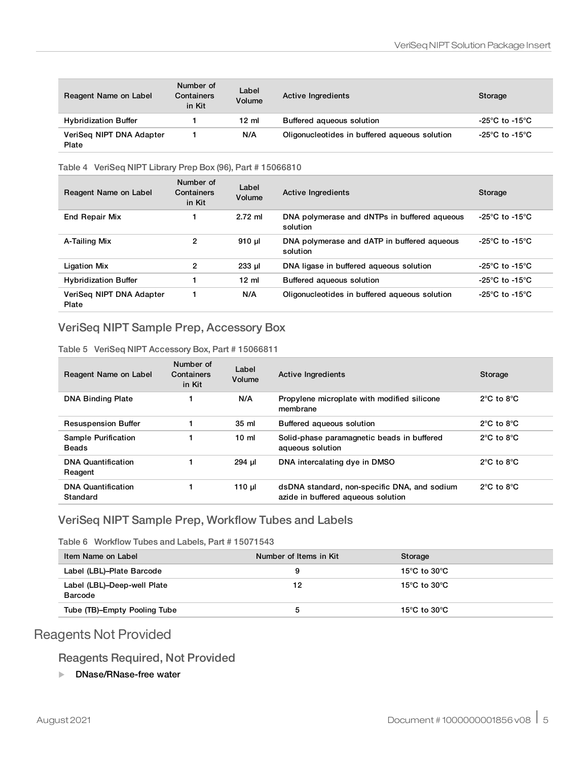| Reagent Name on Label             | Number of<br>Containers<br>in Kit | Label<br>Volume | <b>Active Ingredients</b>                     | Storage        |
|-----------------------------------|-----------------------------------|-----------------|-----------------------------------------------|----------------|
| <b>Hybridization Buffer</b>       |                                   | $12 \text{ ml}$ | Buffered agueous solution                     | -25°C to -15°C |
| VeriSeg NIPT DNA Adapter<br>Plate |                                   | N/A             | Oligonucleotides in buffered aqueous solution | -25°C to -15°C |

#### Table 4 VeriSeq NIPT Library Prep Box (96), Part # 15066810

| Reagent Name on Label             | Number of<br>Containers<br>in Kit | Label<br>Volume  | Active Ingredients                                       | Storage                              |
|-----------------------------------|-----------------------------------|------------------|----------------------------------------------------------|--------------------------------------|
| <b>End Repair Mix</b>             |                                   | $2.72$ ml        | DNA polymerase and dNTPs in buffered aqueous<br>solution | -25 $^{\circ}$ C to -15 $^{\circ}$ C |
| A-Tailing Mix                     | 2                                 | 910 ul           | DNA polymerase and dATP in buffered agueous<br>solution  | -25 $^{\circ}$ C to -15 $^{\circ}$ C |
| <b>Ligation Mix</b>               | 2                                 | $233$ $\mu$      | DNA ligase in buffered aqueous solution                  | -25°C to -15°C                       |
| <b>Hybridization Buffer</b>       | 1                                 | $12 \mathrm{ml}$ | Buffered agueous solution                                | -25°C to -15°C                       |
| VeriSea NIPT DNA Adapter<br>Plate |                                   | N/A              | Oligonucleotides in buffered aqueous solution            | -25 $^{\circ}$ C to -15 $^{\circ}$ C |

### VeriSeq NIPT Sample Prep, Accessory Box

Table 5 VeriSeq NIPT Accessory Box, Part # 15066811

| Reagent Name on Label                 | Number of<br>Containers<br>in Kit | Label<br>Volume | <b>Active Ingredients</b>                                                          | Storage                        |
|---------------------------------------|-----------------------------------|-----------------|------------------------------------------------------------------------------------|--------------------------------|
| <b>DNA Binding Plate</b>              |                                   | N/A             | Propylene microplate with modified silicone<br>membrane                            | $2^{\circ}$ C to $8^{\circ}$ C |
| <b>Resuspension Buffer</b>            |                                   | 35 ml           | Buffered aqueous solution                                                          | $2^{\circ}$ C to $8^{\circ}$ C |
| Sample Purification<br><b>Beads</b>   |                                   | 10 <sub>m</sub> | Solid-phase paramagnetic beads in buffered<br>aqueous solution                     | $2^{\circ}$ C to $8^{\circ}$ C |
| <b>DNA Quantification</b><br>Reagent  |                                   | 294 µl          | DNA intercalating dye in DMSO                                                      | $2^{\circ}$ C to $8^{\circ}$ C |
| <b>DNA Quantification</b><br>Standard |                                   | 110 $\mu$       | dsDNA standard, non-specific DNA, and sodium<br>azide in buffered aqueous solution | $2^{\circ}$ C to $8^{\circ}$ C |

### VeriSeq NIPT Sample Prep, Workflow Tubes and Labels

Table 6 Workflow Tubes and Labels, Part # 15071543

| Item Name on Label                     | Number of Items in Kit | Storage                            |
|----------------------------------------|------------------------|------------------------------------|
| Label (LBL)-Plate Barcode              | 9                      | 15 $^{\circ}$ C to 30 $^{\circ}$ C |
| Label (LBL)-Deep-well Plate<br>Barcode | 12                     | 15°C to 30°C                       |
| Tube (TB)-Empty Pooling Tube           | b                      | 15 $^{\circ}$ C to 30 $^{\circ}$ C |

## Reagents Not Provided

#### Reagents Required, Not Provided

▶ DNase/RNase-free water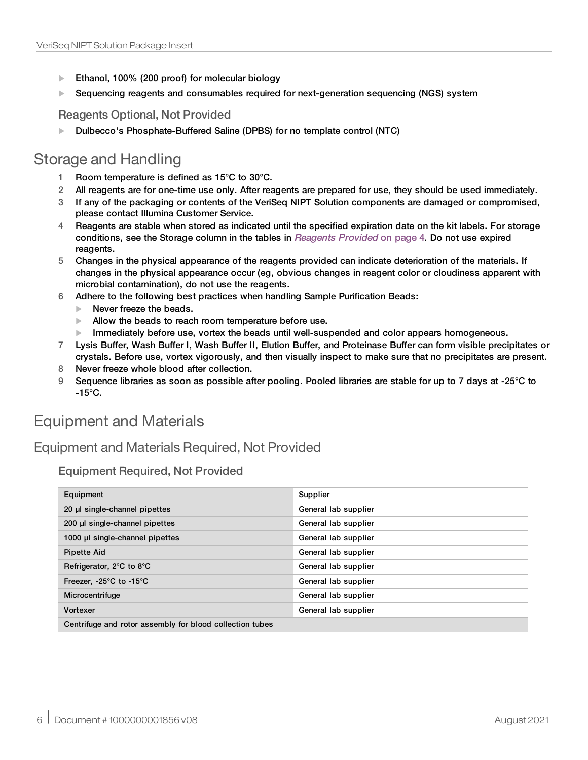- Ethanol, 100% (200 proof) for molecular biology
- $\blacktriangleright$  Sequencing reagents and consumables required for next-generation sequencing (NGS) system

Reagents Optional, Not Provided

**Dulbecco's Phosphate-Buffered Saline (DPBS) for no template control (NTC)** 

## Storage and Handling

- 1 Room temperature is defined as 15°C to 30°C.
- 2 All reagents are for one-time use only. After reagents are prepared for use, they should be used immediately.
- 3 If any of the packaging or contents of the VeriSeq NIPT Solution components are damaged or compromised, please contact Illumina Customer Service.
- 4 Reagents are stable when stored as indicated until the specified expiration date on the kit labels. For storage conditions, see the Storage column in the tables in *[Reagents](#page-3-0) Provided* on page 4. Do not use expired reagents.
- 5 Changes in the physical appearance of the reagents provided can indicate deterioration of the materials. If changes in the physical appearance occur (eg, obvious changes in reagent color or cloudiness apparent with microbial contamination), do not use the reagents.
- 6 Adhere to the following best practices when handling Sample Purification Beads:
	- $\blacktriangleright$  Never freeze the beads.
	- $\blacktriangleright$  Allow the beads to reach room temperature before use.
	- Immediately before use, vortex the beads until well-suspended and color appears homogeneous.
- 7 Lysis Buffer, Wash Buffer I, Wash Buffer II, Elution Buffer, and Proteinase Buffer can form visible precipitates or crystals. Before use, vortex vigorously, and then visually inspect to make sure that no precipitates are present.
- 8 Never freeze whole blood after collection.
- 9 Sequence libraries as soon as possible after pooling. Pooled libraries are stable for up to 7 days at -25°C to  $-15^{\circ}$ C.

## Equipment and Materials

## Equipment and Materials Required, Not Provided

Equipment Required, Not Provided

| Equipment                                                | Supplier             |  |  |
|----------------------------------------------------------|----------------------|--|--|
| 20 µl single-channel pipettes                            | General lab supplier |  |  |
| 200 µl single-channel pipettes                           | General lab supplier |  |  |
| 1000 µ single-channel pipettes                           | General lab supplier |  |  |
| <b>Pipette Aid</b>                                       | General lab supplier |  |  |
| Refrigerator, 2°C to 8°C                                 | General lab supplier |  |  |
| Freezer, $-25^{\circ}$ C to $-15^{\circ}$ C              | General lab supplier |  |  |
| Microcentrifuge                                          | General lab supplier |  |  |
| Vortexer                                                 | General lab supplier |  |  |
| Centrifuge and rotor assembly for blood collection tubes |                      |  |  |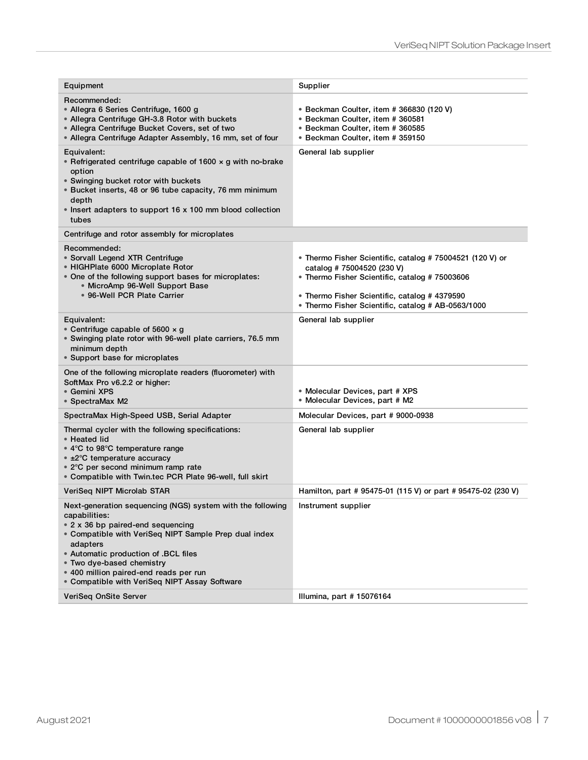| Equipment                                                                                                                                                                                                                                                                                                                                             | Supplier                                                                                                                                                                                                                                         |
|-------------------------------------------------------------------------------------------------------------------------------------------------------------------------------------------------------------------------------------------------------------------------------------------------------------------------------------------------------|--------------------------------------------------------------------------------------------------------------------------------------------------------------------------------------------------------------------------------------------------|
| Recommended:<br>• Allegra 6 Series Centrifuge, 1600 g<br>• Allegra Centrifuge GH-3.8 Rotor with buckets<br>• Allegra Centrifuge Bucket Covers, set of two<br>• Allegra Centrifuge Adapter Assembly, 16 mm, set of four                                                                                                                                | • Beckman Coulter, item # 366830 (120 V)<br>• Beckman Coulter, item # 360581<br>• Beckman Coulter, item # 360585<br>• Beckman Coulter, item # 359150                                                                                             |
| Equivalent:<br>• Refrigerated centrifuge capable of 1600 $\times$ g with no-brake<br>option<br>• Swinging bucket rotor with buckets<br>· Bucket inserts, 48 or 96 tube capacity, 76 mm minimum<br>depth<br>• Insert adapters to support 16 x 100 mm blood collection<br>tubes                                                                         | General lab supplier                                                                                                                                                                                                                             |
| Centrifuge and rotor assembly for microplates                                                                                                                                                                                                                                                                                                         |                                                                                                                                                                                                                                                  |
| Recommended:<br>• Sorvall Legend XTR Centrifuge<br>• HIGHPlate 6000 Microplate Rotor<br>• One of the following support bases for microplates:<br>• MicroAmp 96-Well Support Base<br>• 96-Well PCR Plate Carrier                                                                                                                                       | • Thermo Fisher Scientific, catalog # 75004521 (120 V) or<br>catalog # 75004520 (230 V)<br>• Thermo Fisher Scientific, catalog # 75003606<br>• Thermo Fisher Scientific, catalog # 4379590<br>• Thermo Fisher Scientific, catalog # AB-0563/1000 |
| Equivalent:<br>• Centrifuge capable of 5600 $\times$ g<br>· Swinging plate rotor with 96-well plate carriers, 76.5 mm<br>minimum depth<br>• Support base for microplates                                                                                                                                                                              | General lab supplier                                                                                                                                                                                                                             |
| One of the following microplate readers (fluorometer) with<br>SoftMax Pro v6.2.2 or higher:<br>● Gemini XPS<br>• SpectraMax M2                                                                                                                                                                                                                        | • Molecular Devices, part # XPS<br>• Molecular Devices, part # M2                                                                                                                                                                                |
| SpectraMax High-Speed USB, Serial Adapter                                                                                                                                                                                                                                                                                                             | Molecular Devices, part # 9000-0938                                                                                                                                                                                                              |
| Thermal cycler with the following specifications:<br>• Heated lid<br>• 4°C to 98°C temperature range<br>• ±2°C temperature accuracy<br>• 2°C per second minimum ramp rate<br>• Compatible with Twin.tec PCR Plate 96-well, full skirt                                                                                                                 | General lab supplier                                                                                                                                                                                                                             |
| VeriSeg NIPT Microlab STAR                                                                                                                                                                                                                                                                                                                            | Hamilton, part # 95475-01 (115 V) or part # 95475-02 (230 V)                                                                                                                                                                                     |
| Next-generation sequencing (NGS) system with the following<br>capabilities:<br>• 2 x 36 bp paired-end sequencing<br>• Compatible with VeriSeg NIPT Sample Prep dual index<br>adapters<br>• Automatic production of .BCL files<br>• Two dye-based chemistry<br>• 400 million paired-end reads per run<br>• Compatible with VeriSeq NIPT Assay Software | Instrument supplier                                                                                                                                                                                                                              |
| VeriSeq OnSite Server                                                                                                                                                                                                                                                                                                                                 | Illumina, part #15076164                                                                                                                                                                                                                         |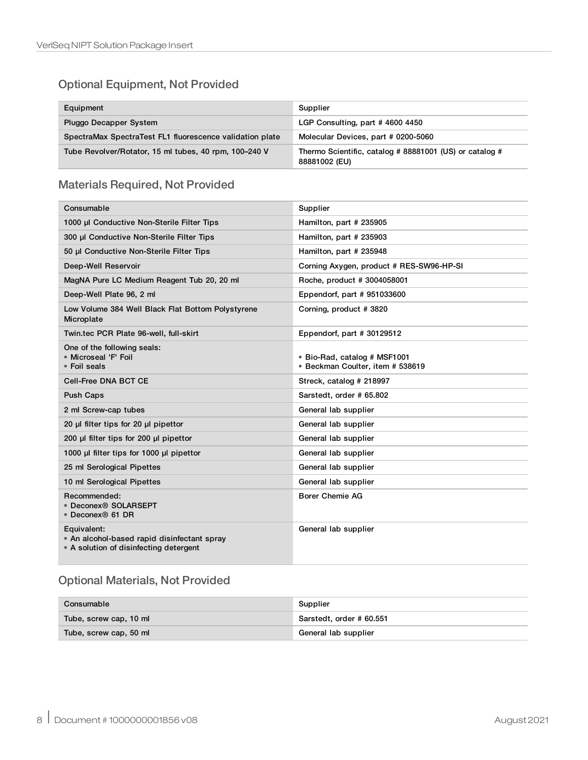### Optional Equipment, Not Provided

| Equipment                                                | Supplier                                                                 |
|----------------------------------------------------------|--------------------------------------------------------------------------|
| <b>Pluggo Decapper System</b>                            | LGP Consulting, part #4600 4450                                          |
| SpectraMax SpectraTest FL1 fluorescence validation plate | Molecular Devices, part # 0200-5060                                      |
| Tube Revolver/Rotator, 15 ml tubes, 40 rpm, 100-240 V    | Thermo Scientific, catalog # 88881001 (US) or catalog #<br>88881002 (EU) |

### Materials Required, Not Provided

| Consumable                                                                                           | Supplier                                                         |
|------------------------------------------------------------------------------------------------------|------------------------------------------------------------------|
| 1000 µl Conductive Non-Sterile Filter Tips                                                           | Hamilton, part # 235905                                          |
| 300 µl Conductive Non-Sterile Filter Tips                                                            | Hamilton, part # 235903                                          |
| 50 µl Conductive Non-Sterile Filter Tips                                                             | Hamilton, part # 235948                                          |
| Deep-Well Reservoir                                                                                  | Corning Axygen, product # RES-SW96-HP-SI                         |
| MagNA Pure LC Medium Reagent Tub 20, 20 ml                                                           | Roche, product # 3004058001                                      |
| Deep-Well Plate 96, 2 ml                                                                             | Eppendorf, part #951033600                                       |
| Low Volume 384 Well Black Flat Bottom Polystyrene<br>Microplate                                      | Corning, product #3820                                           |
| Twin.tec PCR Plate 96-well, full-skirt                                                               | Eppendorf, part # 30129512                                       |
| One of the following seals:<br>• Microseal 'F' Foil<br>• Foil seals                                  | • Bio-Rad, catalog # MSF1001<br>• Beckman Coulter, item # 538619 |
| <b>Cell-Free DNA BCT CE</b>                                                                          | Streck, catalog # 218997                                         |
| <b>Push Caps</b>                                                                                     | Sarstedt, order # 65.802                                         |
| 2 ml Screw-cap tubes                                                                                 | General lab supplier                                             |
| 20 µl filter tips for 20 µl pipettor                                                                 | General lab supplier                                             |
| 200 µl filter tips for 200 µl pipettor                                                               | General lab supplier                                             |
| 1000 µl filter tips for 1000 µl pipettor                                                             | General lab supplier                                             |
| 25 ml Serological Pipettes                                                                           | General lab supplier                                             |
| 10 ml Serological Pipettes                                                                           | General lab supplier                                             |
| Recommended:<br>• Deconex® SOLARSEPT<br>• Deconex® 61 DR                                             | <b>Borer Chemie AG</b>                                           |
| Equivalent:<br>• An alcohol-based rapid disinfectant spray<br>• A solution of disinfecting detergent | General lab supplier                                             |

## Optional Materials, Not Provided

| Consumable             | Supplier                 |
|------------------------|--------------------------|
| Tube, screw cap, 10 ml | Sarstedt, order # 60.551 |
| Tube, screw cap, 50 ml | General lab supplier     |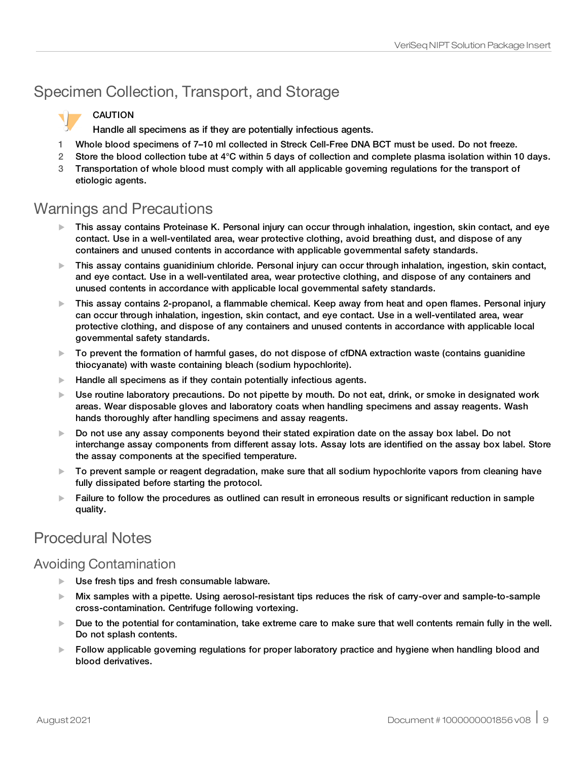# Specimen Collection, Transport, and Storage

### CAUTION

Handle all specimens as if they are potentially infectious agents.

- 1 Whole blood specimens of 7–10 ml collected in Streck Cell-Free DNA BCT must be used. Do not freeze.
- 2 Store the blood collection tube at 4°C within 5 days of collection and complete plasma isolation within 10 days.
- 3 Transportation of whole blood must comply with all applicable governing regulations for the transport of etiologic agents.

## Warnings and Precautions

- $\blacktriangleright$  This assay contains Proteinase K. Personal injury can occur through inhalation, ingestion, skin contact, and eye contact. Use in a well-ventilated area, wear protective clothing, avoid breathing dust, and dispose of any containers and unused contents in accordance with applicable governmental safety standards.
- $\blacktriangleright$  This assay contains quanidinium chloride. Personal injury can occur through inhalation, ingestion, skin contact, and eye contact. Use in a well-ventilated area, wear protective clothing, and dispose of any containers and unused contents in accordance with applicable local governmental safety standards.
- $\blacktriangleright$  This assay contains 2-propanol, a flammable chemical. Keep away from heat and open flames. Personal injury can occur through inhalation, ingestion, skin contact, and eye contact. Use in a well-ventilated area, wear protective clothing, and dispose of any containers and unused contents in accordance with applicable local governmental safety standards.
- $\triangleright$  To prevent the formation of harmful gases, do not dispose of cfDNA extraction waste (contains guanidine thiocyanate) with waste containing bleach (sodium hypochlorite).
- $\blacktriangleright$  Handle all specimens as if they contain potentially infectious agents.
- $\blacktriangleright$  Use routine laboratory precautions. Do not pipette by mouth. Do not eat, drink, or smoke in designated work areas. Wear disposable gloves and laboratory coats when handling specimens and assay reagents. Wash hands thoroughly after handling specimens and assay reagents.
- $\triangleright$  Do not use any assay components beyond their stated expiration date on the assay box label. Do not interchange assay components from different assay lots. Assay lots are identified on the assay box label. Store the assay components at the specified temperature.
- $\blacktriangleright$  To prevent sample or reagent degradation, make sure that all sodium hypochlorite vapors from cleaning have fully dissipated before starting the protocol.
- $\blacktriangleright$  Failure to follow the procedures as outlined can result in erroneous results or significant reduction in sample quality.

## Procedural Notes

## Avoiding Contamination

- $\blacktriangleright$  Use fresh tips and fresh consumable labware.
- ► Mix samples with a pipette. Using aerosol-resistant tips reduces the risk of carry-over and sample-to-sample cross‐contamination. Centrifuge following vortexing.
- $\blacktriangleright$  Due to the potential for contamination, take extreme care to make sure that well contents remain fully in the well. Do not splash contents.
- $\blacktriangleright$  Follow applicable governing regulations for proper laboratory practice and hygiene when handling blood and blood derivatives.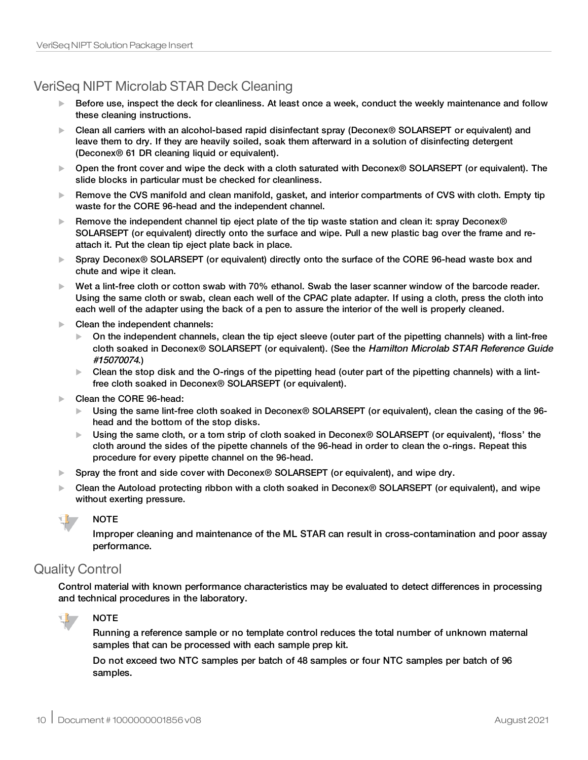## VeriSeq NIPT Microlab STAR Deck Cleaning

- $\blacktriangleright$  Before use, inspect the deck for cleanliness. At least once a week, conduct the weekly maintenance and follow these cleaning instructions.
- ► Clean all carriers with an alcohol-based rapid disinfectant spray (Deconex<sup>®</sup> SOLARSEPT or equivalent) and leave them to dry. If they are heavily soiled, soak them afterward in a solution of disinfecting detergent (Deconex® 61 DR cleaning liquid or equivalent).
- ▶ Open the front cover and wipe the deck with a cloth saturated with Deconex® SOLARSEPT (or equivalent). The slide blocks in particular must be checked for cleanliness.
- $\blacktriangleright$  Remove the CVS manifold and clean manifold, gasket, and interior compartments of CVS with cloth. Empty tip waste for the CORE 96-head and the independent channel.
- Exemove the independent channel tip eject plate of the tip waste station and clean it: spray Deconex® SOLARSEPT (or equivalent) directly onto the surface and wipe. Pull a new plastic bag over the frame and reattach it. Put the clean tip eject plate back in place.
- ▶ Spray Deconex<sup>®</sup> SOLARSEPT (or equivalent) directly onto the surface of the CORE 96-head waste box and chute and wipe it clean.
- $\blacktriangleright$  Wet a lint-free cloth or cotton swab with 70% ethanol. Swab the laser scanner window of the barcode reader. Using the same cloth or swab, clean each well of the CPAC plate adapter. If using a cloth, press the cloth into each well of the adapter using the back of a pen to assure the interior of the well is properly cleaned.
- $\blacktriangleright$  Clean the independent channels:
	- On the independent channels, clean the tip eject sleeve (outer part of the pipetting channels) with a lint-free cloth soaked in Deconex® SOLARSEPT (or equivalent). (See the Hamilton Microlab STAR Reference Guide #15070074.)
	- $\triangleright$  Clean the stop disk and the O-rings of the pipetting head (outer part of the pipetting channels) with a lintfree cloth soaked in Deconex® SOLARSEPT (or equivalent).
- Clean the CORE 96-head:
	- ► Using the same lint-free cloth soaked in Deconex<sup>®</sup> SOLARSEPT (or equivalent), clean the casing of the 96head and the bottom of the stop disks.
	- ▶ Using the same cloth, or a torn strip of cloth soaked in Deconex<sup>®</sup> SOLARSEPT (or equivalent), 'floss' the cloth around the sides of the pipette channels of the 96-head in order to clean the o-rings. Repeat this procedure for every pipette channel on the 96-head.
- Spray the front and side cover with Deconex® SOLARSEPT (or equivalent), and wipe dry.
- ► Clean the Autoload protecting ribbon with a cloth soaked in Deconex<sup>®</sup> SOLARSEPT (or equivalent), and wipe without exerting pressure.



Improper cleaning and maintenance of the ML STAR can result in cross-contamination and poor assay performance.

## Quality Control

Control material with known performance characteristics may be evaluated to detect differences in processing and technical procedures in the laboratory.



**NOTE** 

Running a reference sample or no template control reduces the total number of unknown maternal samples that can be processed with each sample prep kit.

Do not exceed two NTC samples per batch of 48 samples or four NTC samples per batch of 96 samples.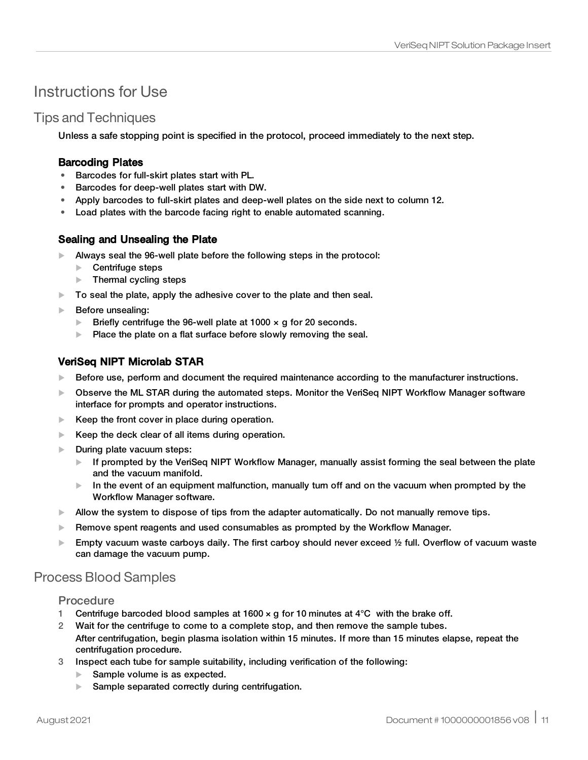## <span id="page-10-0"></span>Instructions for Use

## Tips and Techniques

Unless a safe stopping point is specified in the protocol, proceed immediately to the next step.

#### Barcoding Plates

- Barcodes for full-skirt plates start with PL.
- Barcodes for deep-well plates start with DW.
- Apply barcodes to full-skirt plates and deep-well plates on the side next to column 12.
- Load plates with the barcode facing right to enable automated scanning.

#### Sealing and Unsealing the Plate

- $\blacktriangleright$  Always seal the 96-well plate before the following steps in the protocol:
	- $\blacktriangleright$  Centrifuge steps
	- $\blacktriangleright$  Thermal cycling steps
- $\blacktriangleright$  To seal the plate, apply the adhesive cover to the plate and then seal.
- $\blacktriangleright$  Before unsealing:
	- Eriefly centrifuge the 96-well plate at 1000  $\times$  g for 20 seconds.
	- $\blacktriangleright$  Place the plate on a flat surface before slowly removing the seal.

### VeriSeq NIPT Microlab STAR

- $\blacktriangleright$  Before use, perform and document the required maintenance according to the manufacturer instructions.
- $\triangleright$  Observe the ML STAR during the automated steps. Monitor the VeriSeq NIPT Workflow Manager software interface for prompts and operator instructions.
- $\blacktriangleright$  Keep the front cover in place during operation.
- $\blacktriangleright$  Keep the deck clear of all items during operation.
- $\blacktriangleright$  During plate vacuum steps:
	- $\blacktriangleright$  If prompted by the VeriSeq NIPT Workflow Manager, manually assist forming the seal between the plate and the vacuum manifold.
	- $\blacktriangleright$  In the event of an equipment malfunction, manually turn off and on the vacuum when prompted by the Workflow Manager software.
- $\blacktriangleright$  Allow the system to dispose of tips from the adapter automatically. Do not manually remove tips.
- $\blacktriangleright$  Remove spent reagents and used consumables as prompted by the Workflow Manager.
- Empty vacuum waste carboys daily. The first carboy should never exceed  $\frac{1}{2}$  full. Overflow of vacuum waste can damage the vacuum pump.

## Process Blood Samples

#### Procedure

- 1 Centrifuge barcoded blood samples at 1600  $\times$  q for 10 minutes at 4 $\degree$ C with the brake off.
- 2 Wait for the centrifuge to come to a complete stop, and then remove the sample tubes. After centrifugation, begin plasma isolation within 15 minutes. If more than 15 minutes elapse, repeat the centrifugation procedure.
- 3 Inspect each tube for sample suitability, including verification of the following:
	- $\blacktriangleright$  Sample volume is as expected.
	- Sample separated correctly during centrifugation.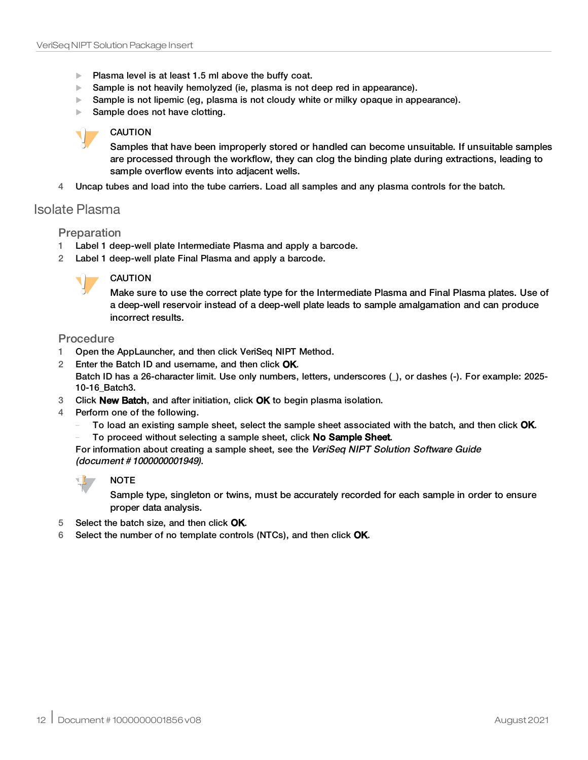- $\blacktriangleright$  Plasma level is at least 1.5 ml above the buffy coat.
- Sample is not heavily hemolyzed (ie, plasma is not deep red in appearance).
- $\triangleright$  Sample is not lipemic (eg, plasma is not cloudy white or milky opaque in appearance).
- Sample does not have clotting.

#### CAUTION

Samples that have been improperly stored or handled can become unsuitable. If unsuitable samples are processed through the workflow, they can clog the binding plate during extractions, leading to sample overflow events into adjacent wells.

4 Uncap tubes and load into the tube carriers. Load all samples and any plasma controls for the batch.

### <span id="page-11-0"></span>Isolate Plasma

#### Preparation

- 1 Label 1 deep-well plate Intermediate Plasma and apply a barcode.
- 2 Label 1 deep-well plate Final Plasma and apply a barcode.



#### CAUTION

Make sure to use the correct plate type for the Intermediate Plasma and Final Plasma plates. Use of a deep-well reservoir instead of a deep-well plate leads to sample amalgamation and can produce incorrect results.

#### **Procedure**

- 1 Open the AppLauncher, and then click VeriSeq NIPT Method.
- 2 Enter the Batch ID and username, and then click OK.

Batch ID has a 26-character limit. Use only numbers, letters, underscores (), or dashes (-). For example: 2025-10-16\_Batch3.

- 3 Click New Batch, and after initiation, click OK to begin plasma isolation.
- 4 Perform one of the following.
	- To load an existing sample sheet, select the sample sheet associated with the batch, and then click **OK**.
	- To proceed without selecting a sample sheet, click No Sample Sheet.

For information about creating a sample sheet, see the VeriSeq NIPT Solution Software Guide (document # 1000000001949).



Sample type, singleton or twins, must be accurately recorded for each sample in order to ensure proper data analysis.

- 5 Select the batch size, and then click OK.
- 6 Select the number of no template controls (NTCs), and then click OK.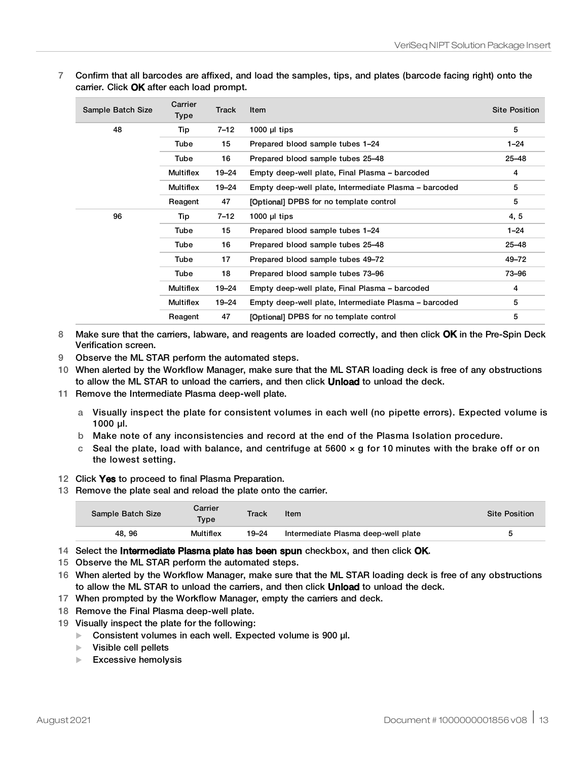7 Confirm that all barcodes are affixed, and load the samples, tips, and plates (barcode facing right) onto the carrier. Click OK after each load prompt.

| Sample Batch Size | Carrier<br>Type  | <b>Track</b> | Item                                                  | <b>Site Position</b> |
|-------------------|------------------|--------------|-------------------------------------------------------|----------------------|
| 48                | Tip              | $7 - 12$     | $1000$ µl tips                                        | 5                    |
|                   | Tube             | 15           | Prepared blood sample tubes 1-24                      | $1 - 24$             |
|                   | Tube             | 16           | Prepared blood sample tubes 25-48                     | $25 - 48$            |
|                   | <b>Multiflex</b> | 19-24        | Empty deep-well plate, Final Plasma – barcoded        | 4                    |
|                   | <b>Multiflex</b> | $19 - 24$    | Empty deep-well plate, Intermediate Plasma – barcoded | 5                    |
|                   | Reagent          | 47           | [Optional] DPBS for no template control               | 5                    |
| 96                | Tip              | $7 - 12$     | 1000 $\mu$ I tips                                     | 4, 5                 |
|                   | Tube             | 15           | Prepared blood sample tubes 1-24                      | $1 - 24$             |
|                   | Tube             | 16           | Prepared blood sample tubes 25-48                     | $25 - 48$            |
|                   | Tube             | 17           | Prepared blood sample tubes 49-72                     | 49-72                |
|                   | Tube             | 18           | Prepared blood sample tubes 73-96                     | 73-96                |
|                   | <b>Multiflex</b> | 19-24        | Empty deep-well plate, Final Plasma - barcoded        | 4                    |
|                   | <b>Multiflex</b> | $19 - 24$    | Empty deep-well plate, Intermediate Plasma - barcoded | 5                    |
|                   | Reagent          | 47           | [Optional] DPBS for no template control               | 5                    |

- 8 Make sure that the carriers, labware, and reagents are loaded correctly, and then click OK in the Pre-Spin Deck Verification screen.
- 9 Observe the ML STAR perform the automated steps.
- 10 When alerted by the Workflow Manager, make sure that the ML STAR loading deck is free of any obstructions to allow the ML STAR to unload the carriers, and then click **Unload** to unload the deck.
- 11 Remove the Intermediate Plasma deep-well plate.
	- a Visually inspect the plate for consistent volumes in each well (no pipette errors). Expected volume is 1000 µl.
	- b Make note of any inconsistencies and record at the end of the Plasma Isolation procedure.
	- c Seal the plate, load with balance, and centrifuge at  $5600 \times g$  for 10 minutes with the brake off or on the lowest setting.
- 12 Click Yes to proceed to final Plasma Preparation.
- 13 Remove the plate seal and reload the plate onto the carrier.

| Sample Batch Size | Carrier<br>Type | Track     | Item                                | <b>Site Position</b> |
|-------------------|-----------------|-----------|-------------------------------------|----------------------|
| 48.96             | Multiflex       | $19 - 24$ | Intermediate Plasma deep-well plate |                      |

- 14 Select the Intermediate Plasma plate has been spun checkbox, and then click OK.
- 15 Observe the ML STAR perform the automated steps.
- 16 When alerted by the Workflow Manager, make sure that the ML STAR loading deck is free of any obstructions to allow the ML STAR to unload the carriers, and then click **Unload** to unload the deck.
- 17 When prompted by the Workflow Manager, empty the carriers and deck.
- 18 Remove the Final Plasma deep-well plate.
- 19 Visually inspect the plate for the following:
	- $\triangleright$  Consistent volumes in each well. Expected volume is 900 µl.
	- $\blacktriangleright$  Visible cell pellets
	- $\blacktriangleright$  Excessive hemolysis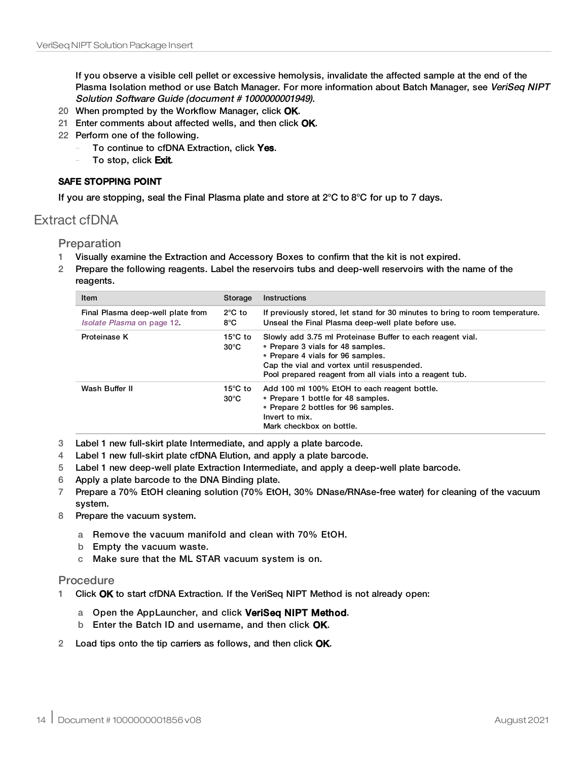If you observe a visible cell pellet or excessive hemolysis, invalidate the affected sample at the end of the Plasma Isolation method or use Batch Manager. For more information about Batch Manager, see VeriSeq NIPT Solution Software Guide (document # 1000000001949).

- 20 When prompted by the Workflow Manager, click OK.
- 21 Enter comments about affected wells, and then click OK.
- 22 Perform one of the following.
	- To continue to cfDNA Extraction, click Yes.
	- To stop, click Exit.

#### SAFE STOPPING POINT

If you are stopping, seal the Final Plasma plate and store at 2°C to 8°C for up to 7 days.

### <span id="page-13-0"></span>Extract cfDNA

Preparation

- 1 Visually examine the Extraction and Accessory Boxes to confirm that the kit is not expired.
- 2 Prepare the following reagents. Label the reservoirs tubs and deep-well reservoirs with the name of the reagents.

| <b>Item</b>                                                            | Storage                             | Instructions                                                                                                                                                                                                                                   |  |
|------------------------------------------------------------------------|-------------------------------------|------------------------------------------------------------------------------------------------------------------------------------------------------------------------------------------------------------------------------------------------|--|
| Final Plasma deep-well plate from<br><i>Isolate Plasma</i> on page 12. | $2^{\circ}$ C to<br>8°C             | If previously stored, let stand for 30 minutes to bring to room temperature.<br>Unseal the Final Plasma deep-well plate before use.                                                                                                            |  |
| Proteinase K                                                           | 15 $\degree$ C to<br>$30^{\circ}$ C | Slowly add 3.75 ml Proteinase Buffer to each reagent vial.<br>• Prepare 3 vials for 48 samples.<br>• Prepare 4 vials for 96 samples.<br>Cap the vial and vortex until resuspended.<br>Pool prepared reagent from all vials into a reagent tub. |  |
| Wash Buffer II                                                         | 15 $\degree$ C to<br>$30^{\circ}$ C | Add 100 ml 100% EtOH to each reagent bottle.<br>• Prepare 1 bottle for 48 samples.<br>• Prepare 2 bottles for 96 samples.<br>Invert to mix.<br>Mark checkbox on bottle.                                                                        |  |

- 3 Label 1 new full-skirt plate Intermediate, and apply a plate barcode.
- 4 Label 1 new full-skirt plate cfDNA Elution, and apply a plate barcode.
- 5 Label 1 new deep-well plate Extraction Intermediate, and apply a deep-well plate barcode.
- 6 Apply a plate barcode to the DNA Binding plate.
- 7 Prepare a 70% EtOH cleaning solution (70% EtOH, 30% DNase/RNAse-free water) for cleaning of the vacuum system.
- 8 Prepare the vacuum system.
	- a Remove the vacuum manifold and clean with 70% EtOH.
	- b Empty the vacuum waste.
	- c Make sure that the ML STAR vacuum system is on.

#### Procedure

- 1 Click OK to start cfDNA Extraction. If the VeriSeq NIPT Method is not already open:
	- a Open the AppLauncher, and click VeriSeq NIPT Method.
	- b Enter the Batch ID and username, and then click OK.
- 2 Load tips onto the tip carriers as follows, and then click OK.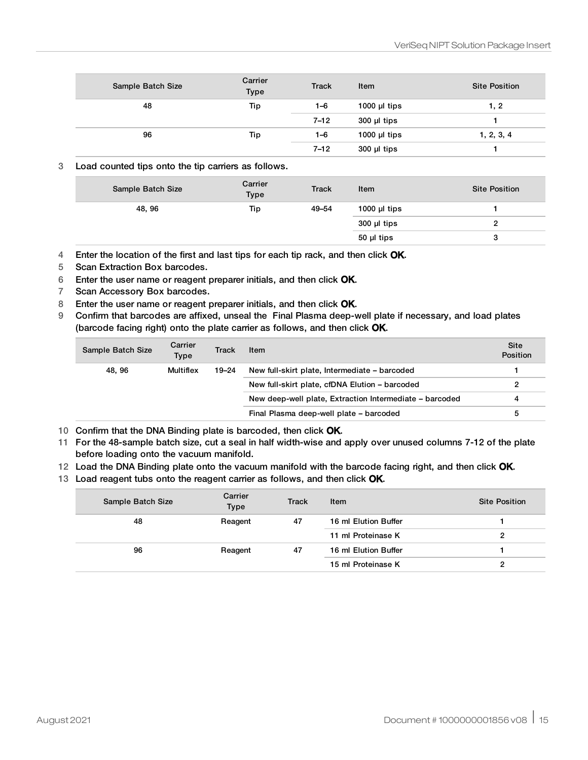| Sample Batch Size | Carrier<br>Type | <b>Track</b> | Item            | <b>Site Position</b> |
|-------------------|-----------------|--------------|-----------------|----------------------|
| 48                | Tip             | 1–6          | 1000 $\mu$ tips | 1, 2                 |
|                   |                 | $7 - 12$     | $300$ µl tips   |                      |
| 96                | Tip             | 1–6          | 1000 $\mu$ tips | 1, 2, 3, 4           |
|                   |                 | $7 - 12$     | $300$ µl tips   |                      |

#### 3 Load counted tips onto the tip carriers as follows.

| Sample Batch Size | Carrier<br>Type | <b>Track</b> | Item              | <b>Site Position</b> |
|-------------------|-----------------|--------------|-------------------|----------------------|
| 48, 96            | Tip             | 49-54        | 1000 $\mu$ I tips |                      |
|                   |                 |              | $300$ µl tips     |                      |
|                   |                 |              | 50 µl tips        | 3                    |

4 Enter the location of the first and last tips for each tip rack, and then click OK.

- 5 Scan Extraction Box barcodes.
- 6 Enter the user name or reagent preparer initials, and then click OK.
- 7 Scan Accessory Box barcodes.
- 8 Enter the user name or reagent preparer initials, and then click OK.
- 9 Confirm that barcodes are affixed, unseal the Final Plasma deep-well plate if necessary, and load plates (barcode facing right) onto the plate carrier as follows, and then click OK.

| Sample Batch Size | Carrier<br>Type | Track     | Item                                                    | <b>Site</b><br><b>Position</b> |
|-------------------|-----------------|-----------|---------------------------------------------------------|--------------------------------|
| 48.96             | Multiflex       | $19 - 24$ | New full-skirt plate, Intermediate – barcoded           |                                |
|                   |                 |           | New full-skirt plate, cfDNA Elution - barcoded          | 2                              |
|                   |                 |           | New deep-well plate, Extraction Intermediate - barcoded | 4                              |
|                   |                 |           | Final Plasma deep-well plate - barcoded                 | 5                              |

10 Confirm that the DNA Binding plate is barcoded, then click OK.

- 11 For the 48-sample batch size, cut a seal in half width-wise and apply over unused columns 7-12 of the plate before loading onto the vacuum manifold.
- 12 Load the DNA Binding plate onto the vacuum manifold with the barcode facing right, and then click OK.
- 13 Load reagent tubs onto the reagent carrier as follows, and then click OK.

| Sample Batch Size | Carrier<br><b>Type</b> | <b>Track</b> | Item                 | <b>Site Position</b> |
|-------------------|------------------------|--------------|----------------------|----------------------|
| 48                | Reagent                | 47           | 16 ml Elution Buffer |                      |
|                   |                        |              | 11 ml Proteinase K   | 2                    |
| 96                | Reagent                | 47           | 16 ml Elution Buffer |                      |
|                   |                        |              | 15 ml Proteinase K   | 2                    |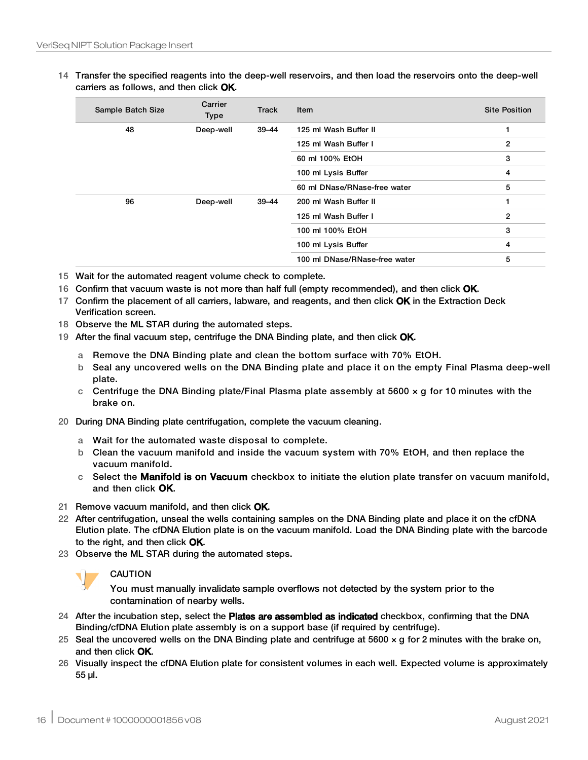14 Transfer the specified reagents into the deep-well reservoirs, and then load the reservoirs onto the deep-well carriers as follows, and then click OK.

| Sample Batch Size | Carrier<br>Type      | Track          | Item                          | <b>Site Position</b> |
|-------------------|----------------------|----------------|-------------------------------|----------------------|
| 48                | Deep-well            | $39 - 44$      | 125 ml Wash Buffer II         | 1                    |
|                   |                      |                | 125 ml Wash Buffer I          | $\mathbf{2}$         |
|                   |                      |                | 60 ml 100% EtOH               | 3                    |
|                   |                      |                | 100 ml Lysis Buffer           | 4                    |
|                   |                      |                | 60 ml DNase/RNase-free water  | 5                    |
| 96                | Deep-well            | $39 - 44$      | 200 ml Wash Buffer II         | 1                    |
|                   | 125 ml Wash Buffer I | $\overline{2}$ |                               |                      |
|                   | 100 ml 100% EtOH     | 3              |                               |                      |
|                   |                      |                | 100 ml Lysis Buffer           | 4                    |
|                   |                      |                | 100 ml DNase/RNase-free water | 5                    |

- 15 Wait for the automated reagent volume check to complete.
- 16 Confirm that vacuum waste is not more than half full (empty recommended), and then click OK.
- 17 Confirm the placement of all carriers, labware, and reagents, and then click OK in the Extraction Deck Verification screen.
- 18 Observe the ML STAR during the automated steps.
- 19 After the final vacuum step, centrifuge the DNA Binding plate, and then click OK.
	- a Remove the DNA Binding plate and clean the bottom surface with 70% EtOH.
	- b Seal any uncovered wells on the DNA Binding plate and place it on the empty Final Plasma deep-well plate.
	- c Centrifuge the DNA Binding plate/Final Plasma plate assembly at  $5600 \times g$  for 10 minutes with the brake on.
- 20 During DNA Binding plate centrifugation, complete the vacuum cleaning.
	- a Wait for the automated waste disposal to complete.
	- b Clean the vacuum manifold and inside the vacuum system with 70% EtOH, and then replace the vacuum manifold.
	- c Select the Manifold is on Vacuum checkbox to initiate the elution plate transfer on vacuum manifold, and then click OK.
- 21 Remove vacuum manifold, and then click OK.
- 22 After centrifugation, unseal the wells containing samples on the DNA Binding plate and place it on the cfDNA Elution plate. The cfDNA Elution plate is on the vacuum manifold. Load the DNA Binding plate with the barcode to the right, and then click OK.
- 23 Observe the ML STAR during the automated steps.



#### CAUTION

You must manually invalidate sample overflows not detected by the system prior to the contamination of nearby wells.

- 24 After the incubation step, select the **Plates are assembled as indicated** checkbox, confirming that the DNA Binding/cfDNA Elution plate assembly is on a support base (if required by centrifuge).
- 25 Seal the uncovered wells on the DNA Binding plate and centrifuge at 5600  $\times$  q for 2 minutes with the brake on, and then click OK.
- 26 Visually inspect the cfDNA Elution plate for consistent volumes in each well. Expected volume is approximately 55 µl.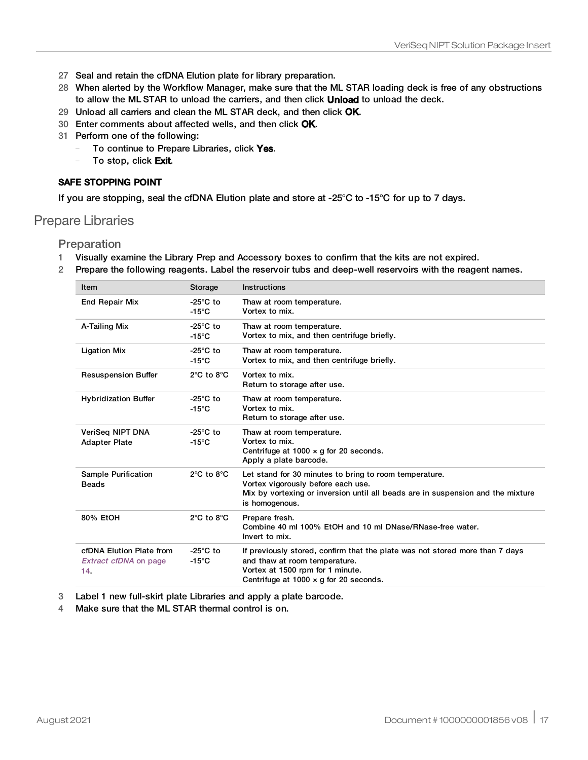- 27 Seal and retain the cfDNA Elution plate for library preparation.
- 28 When alerted by the Workflow Manager, make sure that the ML STAR loading deck is free of any obstructions to allow the ML STAR to unload the carriers, and then click Unload to unload the deck.
- 29 Unload all carriers and clean the ML STAR deck, and then click OK.
- 30 Enter comments about affected wells, and then click OK.
- 31 Perform one of the following:
	- To continue to Prepare Libraries, click Yes.
	- To stop, click Exit.

#### SAFE STOPPING POINT

If you are stopping, seal the cfDNA Elution plate and store at -25°C to -15°C for up to 7 days.

#### <span id="page-16-0"></span>Prepare Libraries

Preparation

- 1 Visually examine the Library Prep and Accessory boxes to confirm that the kits are not expired.
- 2 Prepare the following reagents. Label the reservoir tubs and deep-well reservoirs with the reagent names.

| Item                                                            | Storage                               | <b>Instructions</b>                                                                                                                                                                                |
|-----------------------------------------------------------------|---------------------------------------|----------------------------------------------------------------------------------------------------------------------------------------------------------------------------------------------------|
| <b>End Repair Mix</b>                                           | $-25^{\circ}$ C to<br>$-15^{\circ}$ C | Thaw at room temperature.<br>Vortex to mix.                                                                                                                                                        |
| A-Tailing Mix                                                   | $-25^{\circ}$ C to<br>$-15^{\circ}$ C | Thaw at room temperature.<br>Vortex to mix, and then centrifuge briefly.                                                                                                                           |
| <b>Ligation Mix</b>                                             | $-25^{\circ}$ C to<br>$-15^{\circ}$ C | Thaw at room temperature.<br>Vortex to mix, and then centrifuge briefly.                                                                                                                           |
| <b>Resuspension Buffer</b>                                      | $2^{\circ}$ C to $8^{\circ}$ C        | Vortex to mix.<br>Return to storage after use.                                                                                                                                                     |
| <b>Hybridization Buffer</b>                                     | $-25^{\circ}$ C to<br>$-15^{\circ}$ C | Thaw at room temperature.<br>Vortex to mix.<br>Return to storage after use.                                                                                                                        |
| VeriSeg NIPT DNA<br><b>Adapter Plate</b>                        | $-25^{\circ}$ C to<br>$-15^{\circ}$ C | Thaw at room temperature.<br>Vortex to mix.<br>Centrifuge at $1000 \times q$ for 20 seconds.<br>Apply a plate barcode.                                                                             |
| <b>Sample Purification</b><br><b>Beads</b>                      | $2^{\circ}$ C to $8^{\circ}$ C        | Let stand for 30 minutes to bring to room temperature.<br>Vortex vigorously before each use.<br>Mix by vortexing or inversion until all beads are in suspension and the mixture<br>is homogenous.  |
| 80% EtOH                                                        | $2^{\circ}$ C to $8^{\circ}$ C        | Prepare fresh.<br>Combine 40 ml 100% EtOH and 10 ml DNase/RNase-free water.<br>Invert to mix.                                                                                                      |
| cfDNA Elution Plate from<br><b>Extract cfDNA</b> on page<br>14. | $-25^{\circ}$ C to<br>$-15^{\circ}$ C | If previously stored, confirm that the plate was not stored more than 7 days<br>and thaw at room temperature.<br>Vortex at 1500 rpm for 1 minute.<br>Centrifuge at $1000 \times q$ for 20 seconds. |

3 Label 1 new full-skirt plate Libraries and apply a plate barcode.

4 Make sure that the ML STAR thermal control is on.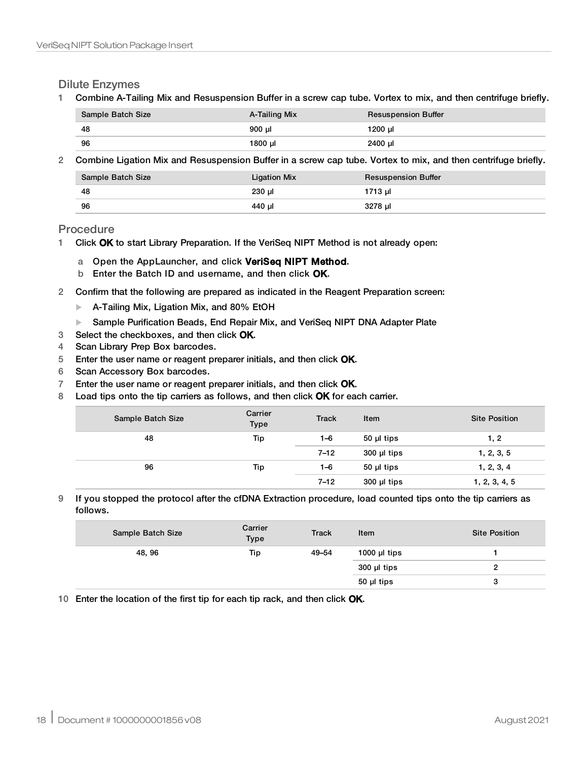Dilute Enzymes

1 Combine A-Tailing Mix and Resuspension Buffer in a screw cap tube. Vortex to mix, and then centrifuge briefly.

| Sample Batch Size | A-Tailing Mix | <b>Resuspension Buffer</b> |
|-------------------|---------------|----------------------------|
| -48               | $900$ µl      | 1200 ul                    |
| 96                | 1800 µl       | 2400 µl                    |

2 Combine Ligation Mix and Resuspension Buffer in a screw cap tube. Vortex to mix, and then centrifuge briefly.

| Sample Batch Size | Ligation Mix | <b>Resuspension Buffer</b> |
|-------------------|--------------|----------------------------|
| -48               | 230 µl       | 1713 µl                    |
| -96               | 440 ul       | 3278 ul                    |

Procedure

- 1 Click OK to start Library Preparation. If the VeriSeq NIPT Method is not already open:
	- a Open the AppLauncher, and click VeriSeq NIPT Method.
	- b Enter the Batch ID and username, and then click OK.
- 2 Confirm that the following are prepared as indicated in the Reagent Preparation screen:
	- $\blacktriangleright$  A-Tailing Mix, Ligation Mix, and 80% EtOH
	- ▶ Sample Purification Beads, End Repair Mix, and VeriSeq NIPT DNA Adapter Plate
- 3 Select the checkboxes, and then click OK.
- 4 Scan Library Prep Box barcodes.
- 5 Enter the user name or reagent preparer initials, and then click OK.
- 6 Scan Accessory Box barcodes.
- 7 Enter the user name or reagent preparer initials, and then click OK.
- 8 Load tips onto the tip carriers as follows, and then click OK for each carrier.

| Sample Batch Size | Carrier<br><b>Type</b> | <b>Track</b> | Item          | <b>Site Position</b> |
|-------------------|------------------------|--------------|---------------|----------------------|
| 48                | Tip                    | 1–6          | 50 µl tips    | 1, 2                 |
|                   |                        | $7 - 12$     | $300$ µl tips | 1, 2, 3, 5           |
| 96                | Tip                    | 1–6          | $50$ µl tips  | 1, 2, 3, 4           |
|                   |                        | $7 - 12$     | $300$ µl tips | 1, 2, 3, 4, 5        |

9 If you stopped the protocol after the cfDNA Extraction procedure, load counted tips onto the tip carriers as follows.

| Sample Batch Size | Carrier<br><b>Type</b> | <b>Track</b> | Item              | <b>Site Position</b> |
|-------------------|------------------------|--------------|-------------------|----------------------|
| 48, 96            | Tip                    | 49–54        | 1000 $\mu$ I tips |                      |
|                   |                        |              | 300 µl tips       |                      |
|                   |                        |              | 50 µl tips        | v                    |

10 Enter the location of the first tip for each tip rack, and then click OK.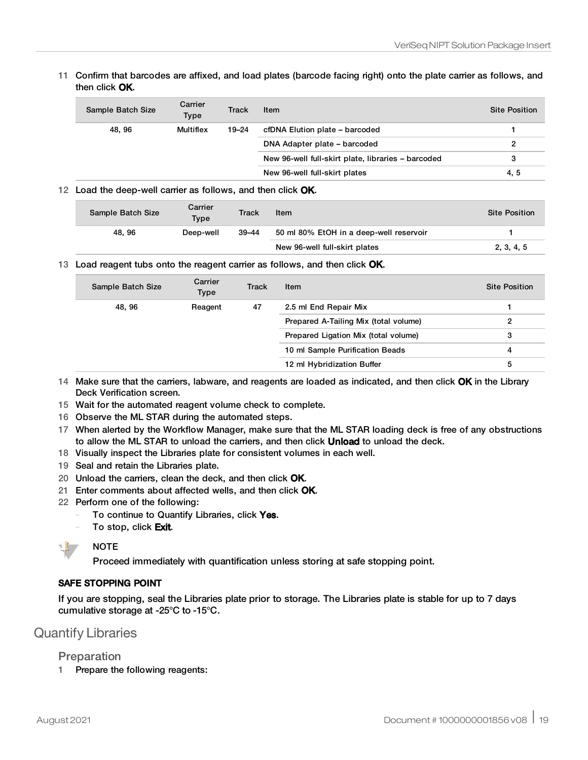#### 11 Confirm that barcodes are affixed, and load plates (barcode facing right) onto the plate carrier as follows, and then click OK.

| Sample Batch Size | Carrier<br><b>Type</b> | Track | Item                                               | <b>Site Position</b> |
|-------------------|------------------------|-------|----------------------------------------------------|----------------------|
| 48.96             | <b>Multiflex</b>       | 19–24 | cfDNA Elution plate - barcoded                     |                      |
|                   |                        |       | DNA Adapter plate – barcoded                       | 2                    |
|                   |                        |       | New 96-well full-skirt plate, libraries – barcoded | 3                    |
|                   |                        |       | New 96-well full-skirt plates                      | 4, 5                 |

#### 12 Load the deep-well carrier as follows, and then click OK.

| Sample Batch Size | Carrier<br><b>Type</b> | Track     | Item                                    | <b>Site Position</b> |
|-------------------|------------------------|-----------|-----------------------------------------|----------------------|
| 48.96             | Deep-well              | $39 - 44$ | 50 ml 80% EtOH in a deep-well reservoir |                      |
|                   |                        |           | New 96-well full-skirt plates           | 2, 3, 4, 5           |

#### 13 Load reagent tubs onto the reagent carrier as follows, and then click OK.

| Sample Batch Size | Carrier<br><b>Type</b> | Track | Item                                  | <b>Site Position</b> |
|-------------------|------------------------|-------|---------------------------------------|----------------------|
| 48, 96            | Reagent                | 47    | 2.5 ml End Repair Mix                 |                      |
|                   |                        |       | Prepared A-Tailing Mix (total volume) | 2                    |
|                   |                        |       | Prepared Ligation Mix (total volume)  | 3                    |
|                   |                        |       | 10 ml Sample Purification Beads       | 4                    |
|                   |                        |       | 12 ml Hybridization Buffer            | 5                    |

- 14 Make sure that the carriers, labware, and reagents are loaded as indicated, and then click OK in the Library Deck Verification screen.
- 15 Wait for the automated reagent volume check to complete.
- 16 Observe the ML STAR during the automated steps.
- 17 When alerted by the Workflow Manager, make sure that the ML STAR loading deck is free of any obstructions to allow the ML STAR to unload the carriers, and then click **Unload** to unload the deck.
- 18 Visually inspect the Libraries plate for consistent volumes in each well.
- 19 Seal and retain the Libraries plate.
- 20 Unload the carriers, clean the deck, and then click OK.
- 21 Enter comments about affected wells, and then click OK.
- 22 Perform one of the following:
	- To continue to Quantify Libraries, click Yes.
	- To stop, click Exit.



Proceed immediately with quantification unless storing at safe stopping point.

#### SAFE STOPPING POINT

If you are stopping, seal the Libraries plate prior to storage. The Libraries plate is stable for up to 7 days cumulative storage at -25°C to -15°C.

### Quantify Libraries

#### <span id="page-18-0"></span>Preparation

1 Prepare the following reagents: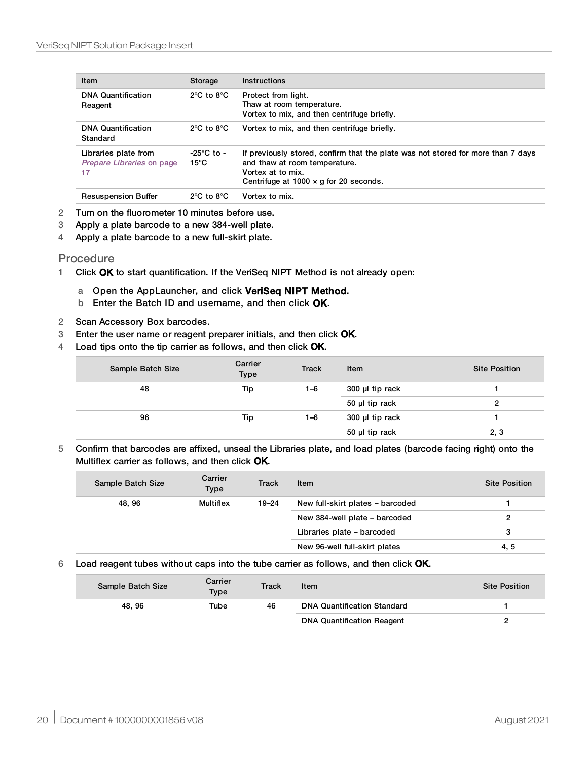| Item                                                    | Storage                                | <b>Instructions</b>                                                                                                                                                                     |
|---------------------------------------------------------|----------------------------------------|-----------------------------------------------------------------------------------------------------------------------------------------------------------------------------------------|
| <b>DNA Quantification</b><br>Reagent                    | $2^{\circ}$ C to $8^{\circ}$ C         | Protect from light.<br>Thaw at room temperature.<br>Vortex to mix, and then centrifuge briefly.                                                                                         |
| <b>DNA Quantification</b><br>Standard                   | $2^{\circ}$ C to $8^{\circ}$ C         | Vortex to mix, and then centrifuge briefly.                                                                                                                                             |
| Libraries plate from<br>Prepare Libraries on page<br>17 | $-25^{\circ}$ C to -<br>$15^{\circ}$ C | If previously stored, confirm that the plate was not stored for more than 7 days<br>and thaw at room temperature.<br>Vortex at to mix.<br>Centrifuge at $1000 \times q$ for 20 seconds. |
| <b>Resuspension Buffer</b>                              | $2^{\circ}$ C to $8^{\circ}$ C         | Vortex to mix.                                                                                                                                                                          |

- 2 Turn on the fluorometer 10 minutes before use.
- 3 Apply a plate barcode to a new 384-well plate.
- <span id="page-19-0"></span>4 Apply a plate barcode to a new full-skirt plate.

#### **Procedure**

- 1 Click OK to start quantification. If the VeriSeq NIPT Method is not already open:
	- a Open the AppLauncher, and click VeriSeq NIPT Method.
	- b Enter the Batch ID and username, and then click OK.
- 2 Scan Accessory Box barcodes.
- 3 Enter the user name or reagent preparer initials, and then click OK.
- 4 Load tips onto the tip carrier as follows, and then click OK.

| Sample Batch Size | Carrier<br><b>Type</b> | <b>Track</b> | Item            | <b>Site Position</b> |
|-------------------|------------------------|--------------|-----------------|----------------------|
| 48                | Tip                    | 1–6          | 300 µl tip rack |                      |
|                   |                        |              | 50 µl tip rack  |                      |
| 96                | Tip                    | 1–6          | 300 µl tip rack |                      |
|                   |                        |              | 50 µl tip rack  | 2, 3                 |

5 Confirm that barcodes are affixed, unseal the Libraries plate, and load plates (barcode facing right) onto the Multiflex carrier as follows, and then click OK.

| Sample Batch Size | Carrier<br><b>Type</b> | Track | Item                             | <b>Site Position</b>          |  |
|-------------------|------------------------|-------|----------------------------------|-------------------------------|--|
| 48, 96            | Multiflex              | 19–24 | New full-skirt plates – barcoded |                               |  |
|                   |                        |       |                                  | New 384-well plate - barcoded |  |
|                   |                        |       | Libraries plate - barcoded       | 3                             |  |
|                   |                        |       | New 96-well full-skirt plates    | 4, 5                          |  |

#### 6 Load reagent tubes without caps into the tube carrier as follows, and then click OK.

| Sample Batch Size | Carrier<br><b>Type</b> | Track | Item                               | <b>Site Position</b> |
|-------------------|------------------------|-------|------------------------------------|----------------------|
| 48.96             | Tube                   | 46    | <b>DNA Quantification Standard</b> |                      |
|                   |                        |       | <b>DNA Quantification Reagent</b>  |                      |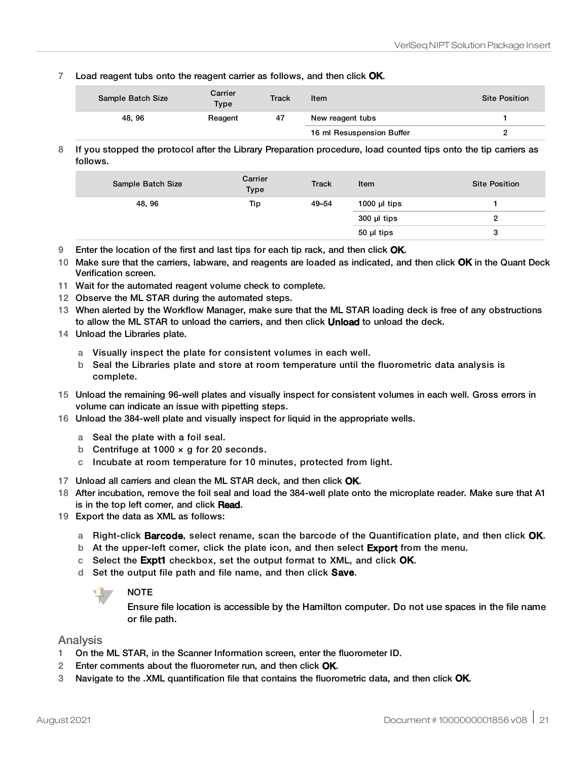7 Load reagent tubs onto the reagent carrier as follows, and then click OK.

| Sample Batch Size | Carrier<br>Type | <b>Track</b> | Item                      | Site Position |
|-------------------|-----------------|--------------|---------------------------|---------------|
| 48, 96            | Reagent         | 47           | New reagent tubs          |               |
|                   |                 |              | 16 ml Resuspension Buffer |               |

8 If you stopped the protocol after the Library Preparation procedure, load counted tips onto the tip carriers as follows.

| Sample Batch Size | Carrier<br>Type | <b>Track</b> | Item              | <b>Site Position</b> |
|-------------------|-----------------|--------------|-------------------|----------------------|
| 48, 96            | Tip             | 49-54        | 1000 $\mu$ I tips |                      |
|                   |                 |              | $300$ µl tips     |                      |
|                   |                 |              | 50 µl tips        | з                    |
|                   |                 |              |                   |                      |

- 9 Enter the location of the first and last tips for each tip rack, and then click OK.
- 10 Make sure that the carriers, labware, and reagents are loaded as indicated, and then click OK in the Quant Deck Verification screen.
- 11 Wait for the automated reagent volume check to complete.
- 12 Observe the ML STAR during the automated steps.
- 13 When alerted by the Workflow Manager, make sure that the ML STAR loading deck is free of any obstructions to allow the ML STAR to unload the carriers, and then click **Unload** to unload the deck.
- 14 Unload the Libraries plate.
	- a Visually inspect the plate for consistent volumes in each well.
	- b Seal the Libraries plate and store at room temperature until the fluorometric data analysis is complete.
- 15 Unload the remaining 96-well plates and visually inspect for consistent volumes in each well. Gross errors in volume can indicate an issue with pipetting steps.
- 16 Unload the 384-well plate and visually inspect for liquid in the appropriate wells.
	- a Seal the plate with a foil seal.
	- b Centrifuge at  $1000 \times q$  for 20 seconds.
	- c Incubate at room temperature for 10 minutes, protected from light.
- 17 Unload all carriers and clean the ML STAR deck, and then click OK.
- 18 After incubation, remove the foil seal and load the 384-well plate onto the microplate reader. Make sure that A1 is in the top left corner, and click Read.
- 19 Export the data as XML as follows:
	- a Right-click **Barcode**, select rename, scan the barcode of the Quantification plate, and then click OK.
	- b At the upper-left corner, click the plate icon, and then select Export from the menu.
	- c Select the Expt1 checkbox, set the output format to XML, and click OK.
	- d Set the output file path and file name, and then click Save.



Ensure file location is accessible by the Hamilton computer. Do not use spaces in the file name or file path.

#### Analysis

- 1 On the ML STAR, in the Scanner Information screen, enter the fluorometer ID.
- 2 Enter comments about the fluorometer run, and then click OK.
- 3 Navigate to the .XML quantification file that contains the fluorometric data, and then click OK.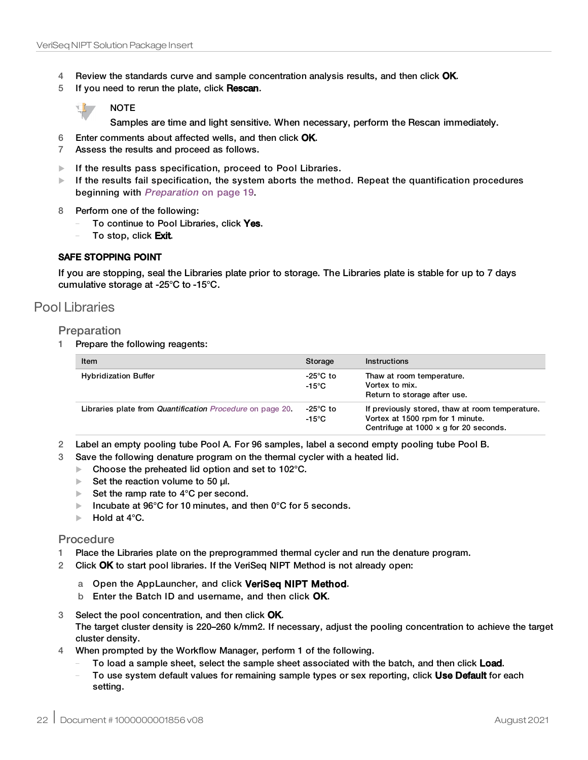- 4 Review the standards curve and sample concentration analysis results, and then click OK.
- 5 If you need to rerun the plate, click Rescan.

#### NOTE

Samples are time and light sensitive. When necessary, perform the Rescan immediately.

- 6 Enter comments about affected wells, and then click OK.
- 7 Assess the results and proceed as follows.
- $\blacktriangleright$  If the results pass specification, proceed to Pool Libraries.
- $\blacktriangleright$  If the results fail specification, the system aborts the method. Repeat the quantification procedures beginning with [Preparation](#page-18-0) on page 19.
- 8 Perform one of the following:
	- To continue to Pool Libraries, click Yes.
	- To stop, click Exit.

#### SAFE STOPPING POINT

If you are stopping, seal the Libraries plate prior to storage. The Libraries plate is stable for up to 7 days cumulative storage at -25°C to -15°C.

### Pool Libraries

#### Preparation

1 Prepare the following reagents:

| Item                                                      | Storage                      | <b>Instructions</b>                                                                                                                  |
|-----------------------------------------------------------|------------------------------|--------------------------------------------------------------------------------------------------------------------------------------|
| <b>Hybridization Buffer</b>                               | -25°C to<br>-15°C            | Thaw at room temperature.<br>Vortex to mix.<br>Return to storage after use.                                                          |
| Libraries plate from Quantification Procedure on page 20. | -25°C to<br>-15 $^{\circ}$ C | If previously stored, thaw at room temperature.<br>Vortex at 1500 rpm for 1 minute.<br>Centrifuge at 1000 $\times$ g for 20 seconds. |

2 Label an empty pooling tube Pool A. For 96 samples, label a second empty pooling tube Pool B.

- 3 Save the following denature program on the thermal cycler with a heated lid.
	- $\blacktriangleright$  Choose the preheated lid option and set to 102°C.
	- $\blacktriangleright$  Set the reaction volume to 50 μl.
	- $\blacktriangleright$  Set the ramp rate to 4°C per second.
	- Incubate at 96°C for 10 minutes, and then  $0^{\circ}$ C for 5 seconds.
	- $\blacktriangleright$  Hold at 4 $\degree$ C.

#### **Procedure**

- 1 Place the Libraries plate on the preprogrammed thermal cycler and run the denature program.
- 2 Click OK to start pool libraries. If the VeriSeq NIPT Method is not already open:
	- a Open the AppLauncher, and click VeriSeq NIPT Method.
	- b Enter the Batch ID and username, and then click OK.
- 3 Select the pool concentration, and then click OK. The target cluster density is 220–260 k/mm2. If necessary, adjust the pooling concentration to achieve the target cluster density.
- 4 When prompted by the Workflow Manager, perform 1 of the following.
	- To load a sample sheet, select the sample sheet associated with the batch, and then click Load.
	- To use system default values for remaining sample types or sex reporting, click Use Default for each setting.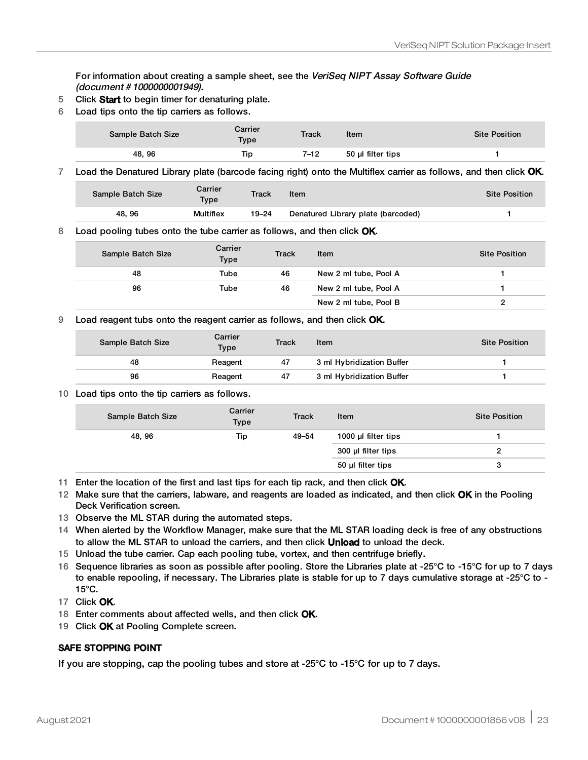For information about creating a sample sheet, see the VeriSeq NIPT Assay Software Guide (document # 1000000001949).

- 5 Click Start to begin timer for denaturing plate.
- 6 Load tips onto the tip carriers as follows.

| Sample Batch Size | Carrier<br>Type | <b>Track</b> | ltem              | <b>Site Position</b> |
|-------------------|-----------------|--------------|-------------------|----------------------|
| 48, 96            | Tip             | 7–12         | 50 µl filter tips |                      |

7 Load the Denatured Library plate (barcode facing right) onto the Multiflex carrier as follows, and then click OK.

| Sample Batch Size | Carrier<br>Type  | <b>Track</b> | Item                               | <b>Site Position</b> |
|-------------------|------------------|--------------|------------------------------------|----------------------|
| 48.96             | <b>Multiflex</b> | 19–24        | Denatured Library plate (barcoded) |                      |

8 Load pooling tubes onto the tube carrier as follows, and then click OK.

| Sample Batch Size | Carrier<br>Type | Track | Item                  | <b>Site Position</b> |
|-------------------|-----------------|-------|-----------------------|----------------------|
| 48                | Tube            | 46    | New 2 ml tube, Pool A |                      |
| 96                | Tube            | 46    | New 2 ml tube, Pool A |                      |
|                   |                 |       | New 2 ml tube, Pool B |                      |

9 Load reagent tubs onto the reagent carrier as follows, and then click OK.

| Sample Batch Size | Carrier<br>Type | Track | Item                      | <b>Site Position</b> |
|-------------------|-----------------|-------|---------------------------|----------------------|
| 48                | Reagent         | 47    | 3 ml Hybridization Buffer |                      |
| 96                | Reagent         | 47    | 3 ml Hybridization Buffer |                      |

#### 10 Load tips onto the tip carriers as follows.

| Sample Batch Size | Carrier<br><b>Type</b> | <b>Track</b> | Item                | <b>Site Position</b> |
|-------------------|------------------------|--------------|---------------------|----------------------|
| 48, 96            | Tip                    | 49-54        | 1000 µl filter tips |                      |
|                   |                        |              | 300 µl filter tips  |                      |
|                   |                        |              | 50 µl filter tips   | з                    |

11 Enter the location of the first and last tips for each tip rack, and then click OK.

- 12 Make sure that the carriers, labware, and reagents are loaded as indicated, and then click OK in the Pooling Deck Verification screen.
- 13 Observe the ML STAR during the automated steps.
- 14 When alerted by the Workflow Manager, make sure that the ML STAR loading deck is free of any obstructions to allow the ML STAR to unload the carriers, and then click **Unload** to unload the deck.
- 15 Unload the tube carrier. Cap each pooling tube, vortex, and then centrifuge briefly.
- 16 Sequence libraries as soon as possible after pooling. Store the Libraries plate at ‐25°C to ‐15°C for up to 7 days to enable repooling, if necessary. The Libraries plate is stable for up to 7 days cumulative storage at -25°C to - 15°C.

17 Click OK.

- 18 Enter comments about affected wells, and then click OK.
- 19 Click OK at Pooling Complete screen.

#### SAFE STOPPING POINT

If you are stopping, cap the pooling tubes and store at -25 $\degree$ C to -15 $\degree$ C for up to 7 days.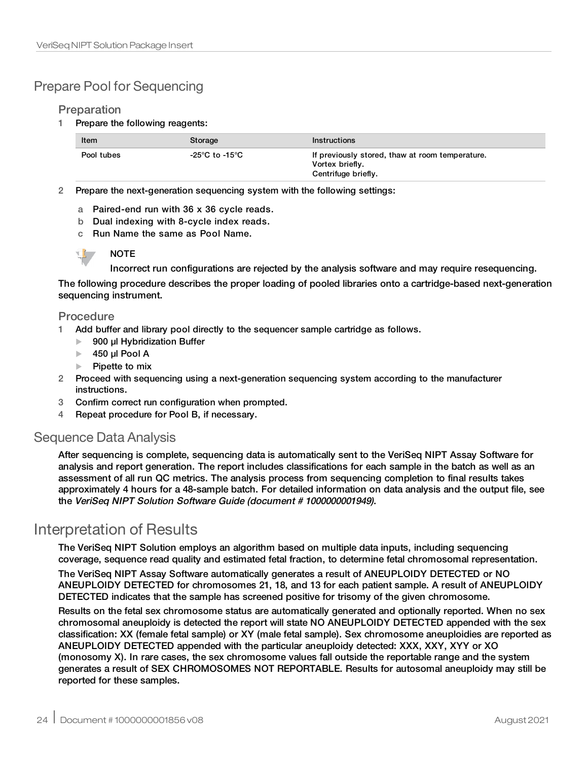## Prepare Pool for Sequencing

#### Preparation

1 Prepare the following reagents:

| Item       | Storage        | <b>Instructions</b>                                                                       |
|------------|----------------|-------------------------------------------------------------------------------------------|
| Pool tubes | -25°C to -15°C | If previously stored, thaw at room temperature.<br>Vortex briefly.<br>Centrifuge briefly. |

2 Prepare the next-generation sequencing system with the following settings:

- a Paired-end run with 36 x 36 cycle reads.
- b Dual indexing with 8-cycle index reads.
- c Run Name the same as Pool Name.



Incorrect run configurations are rejected by the analysis software and may require resequencing.

The following procedure describes the proper loading of pooled libraries onto a cartridge-based next-generation sequencing instrument.

#### Procedure

- 1 Add buffer and library pool directly to the sequencer sample cartridge as follows.
	- $\blacktriangleright$  900 µl Hybridization Buffer
	- $\blacktriangleright$  450 µl Pool A
	- Pipette to mix
- 2 Proceed with sequencing using a next-generation sequencing system according to the manufacturer instructions.
- 3 Confirm correct run configuration when prompted.
- 4 Repeat procedure for Pool B, if necessary.

### Sequence Data Analysis

After sequencing is complete, sequencing data is automatically sent to the VeriSeq NIPT Assay Software for analysis and report generation. The report includes classifications for each sample in the batch as well as an assessment of all run QC metrics. The analysis process from sequencing completion to final results takes approximately 4 hours for a 48-sample batch. For detailed information on data analysis and the output file, see the VeriSeq NIPT Solution Software Guide (document # 1000000001949).

## Interpretation of Results

The VeriSeq NIPT Solution employs an algorithm based on multiple data inputs, including sequencing coverage, sequence read quality and estimated fetal fraction, to determine fetal chromosomal representation.

The VeriSeq NIPT Assay Software automatically generates a result of ANEUPLOIDY DETECTED or NO ANEUPLOIDY DETECTED for chromosomes 21, 18, and 13 for each patient sample. A result of ANEUPLOIDY DETECTED indicates that the sample has screened positive for trisomy of the given chromosome.

Results on the fetal sex chromosome status are automatically generated and optionally reported. When no sex chromosomal aneuploidy is detected the report will state NO ANEUPLOIDY DETECTED appended with the sex classification: XX (female fetal sample) or XY (male fetal sample). Sex chromosome aneuploidies are reported as ANEUPLOIDY DETECTED appended with the particular aneuploidy detected: XXX, XXY, XYY or XO (monosomy X). In rare cases, the sex chromosome values fall outside the reportable range and the system generates a result of SEX CHROMOSOMES NOT REPORTABLE. Results for autosomal aneuploidy may still be reported for these samples.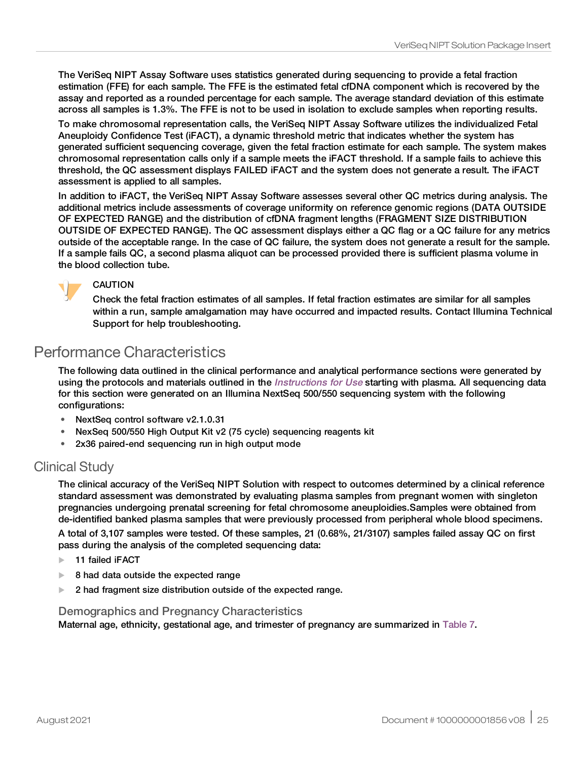The VeriSeq NIPT Assay Software uses statistics generated during sequencing to provide a fetal fraction estimation (FFE) for each sample. The FFE is the estimated fetal cfDNA component which is recovered by the assay and reported as a rounded percentage for each sample. The average standard deviation of this estimate across all samples is 1.3%. The FFE is not to be used in isolation to exclude samples when reporting results.

To make chromosomal representation calls, the VeriSeq NIPT Assay Software utilizes the individualized Fetal Aneuploidy Confidence Test (iFACT), a dynamic threshold metric that indicates whether the system has generated sufficient sequencing coverage, given the fetal fraction estimate for each sample. The system makes chromosomal representation calls only if a sample meets the iFACT threshold. If a sample fails to achieve this threshold, the QC assessment displays FAILED iFACT and the system does not generate a result. The iFACT assessment is applied to all samples.

In addition to iFACT, the VeriSeq NIPT Assay Software assesses several other QC metrics during analysis. The additional metrics include assessments of coverage uniformity on reference genomic regions (DATA OUTSIDE OF EXPECTED RANGE) and the distribution of cfDNA fragment lengths (FRAGMENT SIZE DISTRIBUTION OUTSIDE OF EXPECTED RANGE). The QC assessment displays either a QC flag or a QC failure for any metrics outside of the acceptable range. In the case of QC failure, the system does not generate a result for the sample. If a sample fails QC, a second plasma aliquot can be processed provided there is sufficient plasma volume in the blood collection tube.



### CAUTION

Check the fetal fraction estimates of all samples. If fetal fraction estimates are similar for all samples within a run, sample amalgamation may have occurred and impacted results. Contact Illumina Technical Support for help troubleshooting.

## Performance Characteristics

The following data outlined in the clinical performance and analytical performance sections were generated by using the protocols and materials outlined in the *[Instructions](#page-10-0) for Use* starting with plasma. All sequencing data for this section were generated on an Illumina NextSeq 500/550 sequencing system with the following configurations:

- NextSeq control software v2.1.0.31
- NexSeq 500/550 High Output Kit v2 (75 cycle) sequencing reagents kit
- 2x36 paired-end sequencing run in high output mode

## Clinical Study

The clinical accuracy of the VeriSeq NIPT Solution with respect to outcomes determined by a clinical reference standard assessment was demonstrated by evaluating plasma samples from pregnant women with singleton pregnancies undergoing prenatal screening for fetal chromosome aneuploidies.Samples were obtained from de-identified banked plasma samples that were previously processed from peripheral whole blood specimens.

A total of 3,107 samples were tested. Of these samples, 21 (0.68%, 21/3107) samples failed assay QC on first pass during the analysis of the completed sequencing data:

- $\blacktriangleright$  11 failed iFACT
- $\triangleright$  8 had data outside the expected range
- 2 had fragment size distribution outside of the expected range.

#### Demographics and Pregnancy Characteristics

Maternal age, ethnicity, gestational age, and trimester of pregnancy are summarized in [Table](#page-25-0) 7.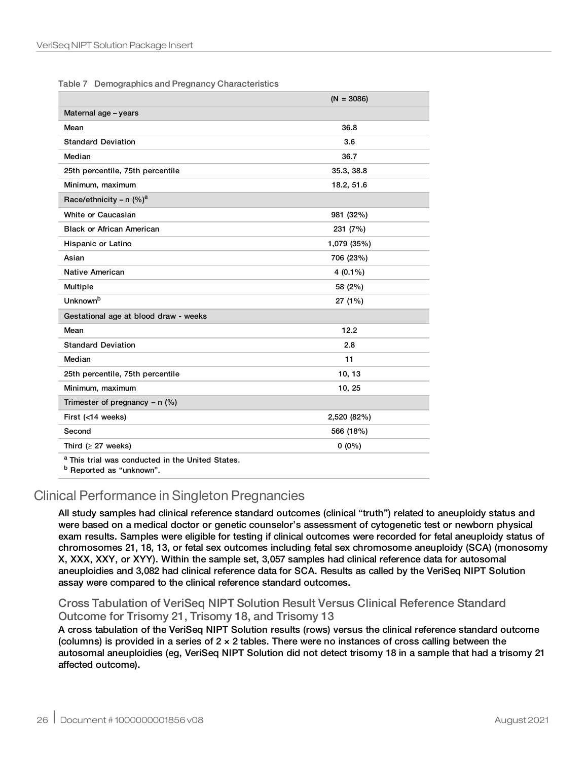<span id="page-25-0"></span>

|  |  |  | Table 7 Demographics and Pregnancy Characteristics |
|--|--|--|----------------------------------------------------|
|--|--|--|----------------------------------------------------|

|                                                                                              | $(N = 3086)$ |
|----------------------------------------------------------------------------------------------|--------------|
| Maternal age - years                                                                         |              |
| Mean                                                                                         | 36.8         |
| <b>Standard Deviation</b>                                                                    | 3.6          |
| Median                                                                                       | 36.7         |
| 25th percentile, 75th percentile                                                             | 35.3, 38.8   |
| Minimum, maximum                                                                             | 18.2, 51.6   |
| Race/ethnicity - n $(\%)^a$                                                                  |              |
| White or Caucasian                                                                           | 981 (32%)    |
| <b>Black or African American</b>                                                             | 231 (7%)     |
| Hispanic or Latino                                                                           | 1,079 (35%)  |
| Asian                                                                                        | 706 (23%)    |
| <b>Native American</b>                                                                       | $4(0.1\%)$   |
| Multiple                                                                                     | 58 (2%)      |
| <b>Unknown</b> b                                                                             | 27 (1%)      |
| Gestational age at blood draw - weeks                                                        |              |
| Mean                                                                                         | 12.2         |
| <b>Standard Deviation</b>                                                                    | 2.8          |
| Median                                                                                       | 11           |
| 25th percentile, 75th percentile                                                             | 10, 13       |
| Minimum, maximum                                                                             | 10, 25       |
| Trimester of pregnancy $-$ n (%)                                                             |              |
| First (<14 weeks)                                                                            | 2,520 (82%)  |
| Second                                                                                       | 566 (18%)    |
| Third ( $\geq$ 27 weeks)                                                                     | $0(0\%)$     |
| <sup>a</sup> This trial was conducted in the United States.<br>$D$ Danautaal aa ffinklingum! |              |

Reported as "unknown".

## Clinical Performance in Singleton Pregnancies

All study samples had clinical reference standard outcomes (clinical "truth") related to aneuploidy status and were based on a medical doctor or genetic counselor's assessment of cytogenetic test or newborn physical exam results. Samples were eligible for testing if clinical outcomes were recorded for fetal aneuploidy status of chromosomes 21, 18, 13, or fetal sex outcomes including fetal sex chromosome aneuploidy (SCA) (monosomy X, XXX, XXY, or XYY). Within the sample set, 3,057 samples had clinical reference data for autosomal aneuploidies and 3,082 had clinical reference data for SCA. Results as called by the VeriSeq NIPT Solution assay were compared to the clinical reference standard outcomes.

#### Cross Tabulation of VeriSeq NIPT Solution Result Versus Clinical Reference Standard Outcome for Trisomy 21, Trisomy 18, and Trisomy 13

A cross tabulation of the VeriSeq NIPT Solution results (rows) versus the clinical reference standard outcome (columns) is provided in a series of  $2 \times 2$  tables. There were no instances of cross calling between the autosomal aneuploidies (eg, VeriSeq NIPT Solution did not detect trisomy 18 in a sample that had a trisomy 21 affected outcome).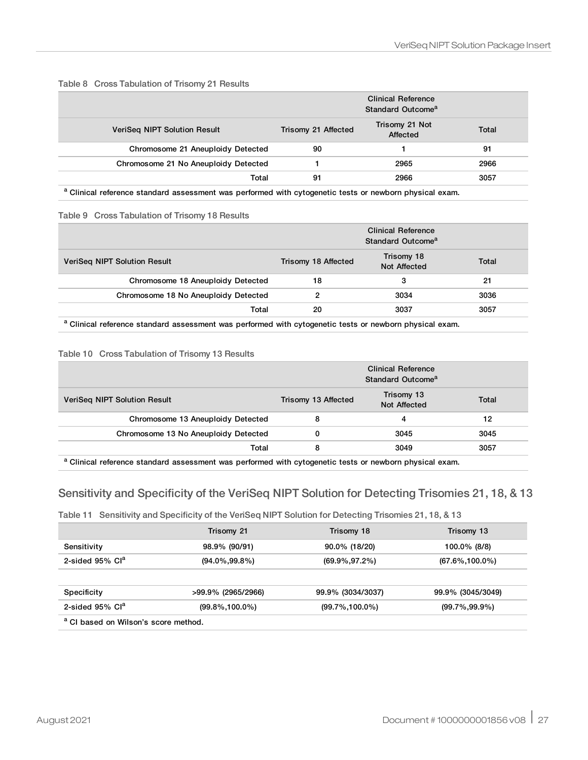|                                      | <b>Clinical Reference</b><br>Standard Outcome <sup>a</sup> |                            |       |
|--------------------------------------|------------------------------------------------------------|----------------------------|-------|
| <b>VeriSeg NIPT Solution Result</b>  | Trisomy 21 Affected                                        | Trisomy 21 Not<br>Affected | Total |
| Chromosome 21 Aneuploidy Detected    | 90                                                         |                            | 91    |
| Chromosome 21 No Aneuploidy Detected |                                                            | 2965                       | 2966  |
| Total                                | 91                                                         | 2966                       | 3057  |

#### Table 8 Cross Tabulation of Trisomy 21 Results

a Clinical reference standard assessment was performed with cytogenetic tests or newborn physical exam.

#### Table 9 Cross Tabulation of Trisomy 18 Results

|                                      | <b>Clinical Reference</b><br>Standard Outcome <sup>a</sup> |                            |       |
|--------------------------------------|------------------------------------------------------------|----------------------------|-------|
| VeriSeg NIPT Solution Result         | Trisomy 18 Affected                                        | Trisomy 18<br>Not Affected | Total |
| Chromosome 18 Aneuploidy Detected    | 18                                                         | з                          | 21    |
| Chromosome 18 No Aneuploidy Detected | 2                                                          | 3034                       | 3036  |
| Total                                | 20                                                         | 3037                       | 3057  |

a Clinical reference standard assessment was performed with cytogenetic tests or newborn physical exam.

#### Table 10 Cross Tabulation of Trisomy 13 Results

|                                      | <b>Clinical Reference</b><br>Standard Outcome <sup>a</sup> |                            |       |
|--------------------------------------|------------------------------------------------------------|----------------------------|-------|
| VeriSeg NIPT Solution Result         | Trisomy 13 Affected                                        | Trisomy 13<br>Not Affected | Total |
| Chromosome 13 Aneuploidy Detected    | 8                                                          | 4                          | 12    |
| Chromosome 13 No Aneuploidy Detected |                                                            | 3045                       | 3045  |
| Total                                | 8                                                          | 3049                       | 3057  |

a Clinical reference standard assessment was performed with cytogenetic tests or newborn physical exam.

### <span id="page-26-0"></span>Sensitivity and Specificity of the VeriSeq NIPT Solution for Detecting Trisomies 21, 18, & 13

#### Table 11 Sensitivity and Specificity of the VeriSeq NIPT Solution for Detecting Trisomies 21, 18, & 13

|                                                 | Trisomy 21          | Trisomy 18          | Trisomy 13          |
|-------------------------------------------------|---------------------|---------------------|---------------------|
| Sensitivity                                     | 98.9% (90/91)       | $90.0\%$ (18/20)    | 100.0% (8/8)        |
| 2-sided $95\%$ Cl <sup>a</sup>                  | $(94.0\%, 99.8\%)$  | $(69.9\%, 97.2\%)$  | $(67.6\%, 100.0\%)$ |
| Specificity                                     | >99.9% (2965/2966)  | 99.9% (3034/3037)   | 99.9% (3045/3049)   |
| 2-sided $95\%$ Cl <sup>a</sup>                  | $(99.8\%, 100.0\%)$ | $(99.7\%, 100.0\%)$ | $(99.7\%, 99.9\%)$  |
| <sup>a</sup> CI based on Wilson's score method. |                     |                     |                     |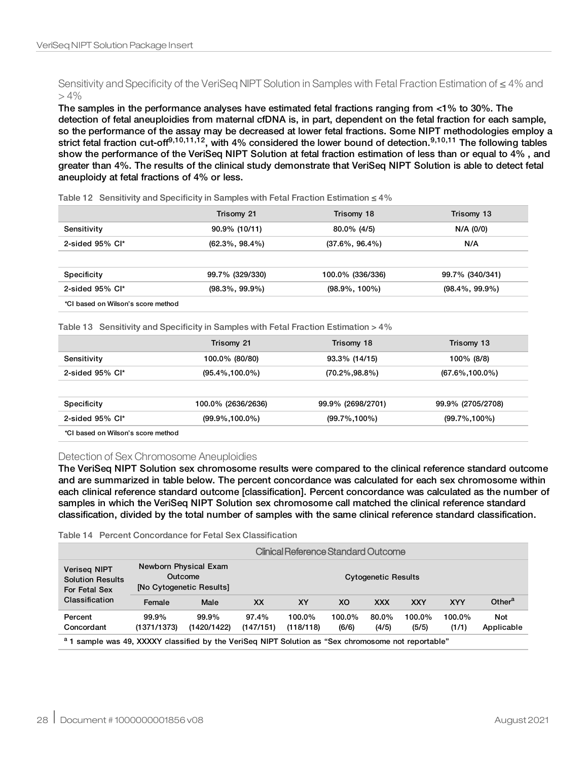#### Sensitivity and Specificity of the VeriSeq NIPT Solution in Samples with Fetal Fraction Estimation of ≤ 4% and  $> 4\%$

The samples in the performance analyses have estimated fetal fractions ranging from <1% to 30%. The detection of fetal aneuploidies from maternal cfDNA is, in part, dependent on the fetal fraction for each sample, so the performance of the assay may be decreased at lower fetal fractions. Some NIPT methodologies employ a strict fetal fraction cut-off<sup>9,10,11,12</sup>, with 4% considered the lower bound of detection.<sup>9,10,11</sup> The following tables show the performance of the VeriSeq NIPT Solution at fetal fraction estimation of less than or equal to 4% , and greater than 4%. The results of the clinical study demonstrate that VeriSeq NIPT Solution is able to detect fetal aneuploidy at fetal fractions of 4% or less.

|                    | Trisomy 21         | Trisomy 18         | Trisomy 13 |
|--------------------|--------------------|--------------------|------------|
| Sensitivity        | 90.9% (10/11)      | 80.0% (4/5)        | N/A (0/0)  |
| 2-sided $95\%$ CI* | $(62.3\%, 98.4\%)$ | $(37.6\%, 96.4\%)$ | N/A        |
|                    |                    |                    |            |

Table 12 Sensitivity and Specificity in Samples with Fetal Fraction Estimation  $\leq 4\%$ 

| Specificity            | 99.7% (329/330)    | 100.0% (336/336)  | 99.7% (340/341)    |
|------------------------|--------------------|-------------------|--------------------|
| 2-sided $95\%$ CI $^*$ | $(98.3\%, 99.9\%)$ | $(98.9\%, 100\%)$ | $(98.4\%, 99.9\%)$ |

Table 13 Sensitivity and Specificity in Samples with Fetal Fraction Estimation > 4%

|                                    | Trisomy 21          | Trisomy 18         | Trisomy 13          |
|------------------------------------|---------------------|--------------------|---------------------|
| Sensitivity                        | 100.0% (80/80)      | 93.3% (14/15)      | 100% (8/8)          |
| 2-sided $95\%$ Cl <sup>*</sup>     | $(95.4\%, 100.0\%)$ | $(70.2\%, 98.8\%)$ | $(67.6\%, 100.0\%)$ |
| Specificity                        | 100.0% (2636/2636)  | 99.9% (2698/2701)  | 99.9% (2705/2708)   |
| 2-sided $95\%$ Cl*                 | $(99.9\%, 100.0\%)$ | $(99.7\%, 100\%)$  | $(99.7\%, 100\%)$   |
| *CI based on Wilson's score method |                     |                    |                     |

#### Detection of Sex Chromosome Aneuploidies

The VeriSeq NIPT Solution sex chromosome results were compared to the clinical reference standard outcome and are summarized in table below. The percent concordance was calculated for each sex chromosome within each clinical reference standard outcome [classification]. Percent concordance was calculated as the number of samples in which the VeriSeq NIPT Solution sex chromosome call matched the clinical reference standard classification, divided by the total number of samples with the same clinical reference standard classification.

#### Table 14 Percent Concordance for Fetal Sex Classification

|                                                                                                                |                      | Clinical Reference Standard Outcome                          |                            |                     |                 |                |                 |                 |                    |
|----------------------------------------------------------------------------------------------------------------|----------------------|--------------------------------------------------------------|----------------------------|---------------------|-----------------|----------------|-----------------|-----------------|--------------------|
| <b>Veriseg NIPT</b><br><b>Solution Results</b><br>For Fetal Sex                                                |                      | Newborn Physical Exam<br>Outcome<br>[No Cytogenetic Results] | <b>Cytogenetic Results</b> |                     |                 |                |                 |                 |                    |
| Classification                                                                                                 | Female               | Male                                                         | <b>XX</b>                  | XY                  | XO              | <b>XXX</b>     | <b>XXY</b>      | <b>XYY</b>      | Other <sup>a</sup> |
| Percent<br>Concordant                                                                                          | 99.9%<br>(1371/1373) | 99.9%<br>(1420/1422)                                         | 97.4%<br>(147/151)         | 100.0%<br>(118/118) | 100.0%<br>(6/6) | 80.0%<br>(4/5) | 100.0%<br>(5/5) | 100.0%<br>(1/1) | Not<br>Applicable  |
| <sup>a</sup> 1 sample was 49, XXXXY classified by the VeriSeq NIPT Solution as "Sex chromosome not reportable" |                      |                                                              |                            |                     |                 |                |                 |                 |                    |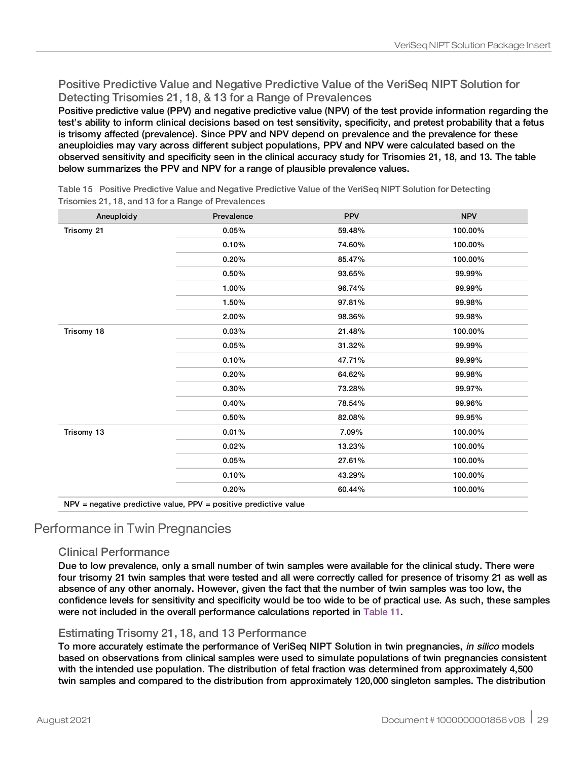### Positive Predictive Value and Negative Predictive Value of the VeriSeq NIPT Solution for Detecting Trisomies 21, 18, & 13 for a Range of Prevalences

Positive predictive value (PPV) and negative predictive value (NPV) of the test provide information regarding the test's ability to inform clinical decisions based on test sensitivity, specificity, and pretest probability that a fetus is trisomy affected (prevalence). Since PPV and NPV depend on prevalence and the prevalence for these aneuploidies may vary across different subject populations, PPV and NPV were calculated based on the observed sensitivity and specificity seen in the clinical accuracy study for Trisomies 21, 18, and 13. The table below summarizes the PPV and NPV for a range of plausible prevalence values.

| Prevalence | <b>PPV</b> | <b>NPV</b> |
|------------|------------|------------|
| 0.05%      | 59.48%     | 100.00%    |
| 0.10%      | 74.60%     | 100.00%    |
| 0.20%      | 85.47%     | 100.00%    |
| 0.50%      | 93.65%     | 99.99%     |
| 1.00%      | 96.74%     | 99.99%     |
| 1.50%      | 97.81%     | 99.98%     |
| 2.00%      | 98.36%     | 99.98%     |
| 0.03%      | 21.48%     | 100.00%    |
| 0.05%      | 31.32%     | 99.99%     |
| 0.10%      | 47.71%     | 99.99%     |
| 0.20%      | 64.62%     | 99.98%     |
| 0.30%      | 73.28%     | 99.97%     |
| 0.40%      | 78.54%     | 99.96%     |
| 0.50%      | 82.08%     | 99.95%     |
| 0.01%      | 7.09%      | 100.00%    |
| 0.02%      | 13.23%     | 100.00%    |
| 0.05%      | 27.61%     | 100.00%    |
| 0.10%      | 43.29%     | 100.00%    |
| 0.20%      | 60.44%     | 100.00%    |
|            |            |            |

Table 15 Positive Predictive Value and Negative Predictive Value of the VeriSeq NIPT Solution for Detecting Trisomies 21, 18, and 13 for a Range of Prevalences

## Performance in Twin Pregnancies

### Clinical Performance

Due to low prevalence, only a small number of twin samples were available for the clinical study. There were four trisomy 21 twin samples that were tested and all were correctly called for presence of trisomy 21 as well as absence of any other anomaly. However, given the fact that the number of twin samples was too low, the confidence levels for sensitivity and specificity would be too wide to be of practical use. As such, these samples were not included in the overall performance calculations reported in [Table](#page-26-0) 11.

### Estimating Trisomy 21, 18, and 13 Performance

To more accurately estimate the performance of VeriSeq NIPT Solution in twin pregnancies, in silico models based on observations from clinical samples were used to simulate populations of twin pregnancies consistent with the intended use population. The distribution of fetal fraction was determined from approximately 4,500 twin samples and compared to the distribution from approximately 120,000 singleton samples. The distribution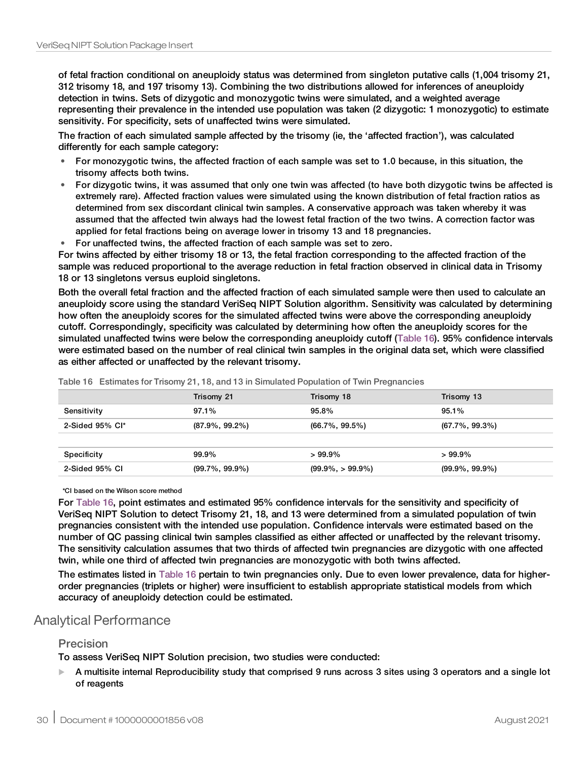of fetal fraction conditional on aneuploidy status was determined from singleton putative calls (1,004 trisomy 21, 312 trisomy 18, and 197 trisomy 13). Combining the two distributions allowed for inferences of aneuploidy detection in twins. Sets of dizygotic and monozygotic twins were simulated, and a weighted average representing their prevalence in the intended use population was taken (2 dizygotic: 1 monozygotic) to estimate sensitivity. For specificity, sets of unaffected twins were simulated.

The fraction of each simulated sample affected by the trisomy (ie, the 'affected fraction'), was calculated differently for each sample category:

- For monozygotic twins, the affected fraction of each sample was set to 1.0 because, in this situation, the trisomy affects both twins.
- For dizygotic twins, it was assumed that only one twin was affected (to have both dizygotic twins be affected is extremely rare). Affected fraction values were simulated using the known distribution of fetal fraction ratios as determined from sex discordant clinical twin samples. A conservative approach was taken whereby it was assumed that the affected twin always had the lowest fetal fraction of the two twins. A correction factor was applied for fetal fractions being on average lower in trisomy 13 and 18 pregnancies.
- For unaffected twins, the affected fraction of each sample was set to zero.

For twins affected by either trisomy 18 or 13, the fetal fraction corresponding to the affected fraction of the sample was reduced proportional to the average reduction in fetal fraction observed in clinical data in Trisomy 18 or 13 singletons versus euploid singletons.

Both the overall fetal fraction and the affected fraction of each simulated sample were then used to calculate an aneuploidy score using the standard VeriSeq NIPT Solution algorithm. Sensitivity was calculated by determining how often the aneuploidy scores for the simulated affected twins were above the corresponding aneuploidy cutoff. Correspondingly, specificity was calculated by determining how often the aneuploidy scores for the simulated unaffected twins were below the corresponding aneuploidy cutoff ([Table](#page-29-0) 16). 95% confidence intervals were estimated based on the number of real clinical twin samples in the original data set, which were classified as either affected or unaffected by the relevant trisomy.

|                    | Trisomy 21         | Trisomy 18           | Trisomy 13         |
|--------------------|--------------------|----------------------|--------------------|
| Sensitivity        | $97.1\%$           | 95.8%                | $95.1\%$           |
| 2-Sided $95\%$ Cl* | $(87.9\%, 99.2\%)$ | $(66.7\% , 99.5\%)$  | (67.7%, 99.3%)     |
|                    |                    |                      |                    |
| Specificity        | 99.9%              | $>99.9\%$            | $>99.9\%$          |
| 2-Sided 95% CI     | $(99.7\%, 99.9\%)$ | $(99.9\%, > 99.9\%)$ | $(99.9\%, 99.9\%)$ |

<span id="page-29-0"></span>Table 16 Estimates for Trisomy 21, 18, and 13 in Simulated Population of Twin Pregnancies

\*CI based on the Wilson score method

For [Table](#page-29-0) 16, point estimates and estimated 95% confidence intervals for the sensitivity and specificity of VeriSeq NIPT Solution to detect Trisomy 21, 18, and 13 were determined from a simulated population of twin pregnancies consistent with the intended use population. Confidence intervals were estimated based on the number of QC passing clinical twin samples classified as either affected or unaffected by the relevant trisomy. The sensitivity calculation assumes that two thirds of affected twin pregnancies are dizygotic with one affected twin, while one third of affected twin pregnancies are monozygotic with both twins affected.

The estimates listed in [Table](#page-29-0) 16 pertain to twin pregnancies only. Due to even lower prevalence, data for higherorder pregnancies (triplets or higher) were insufficient to establish appropriate statistical models from which accuracy of aneuploidy detection could be estimated.

### Analytical Performance

#### Precision

To assess VeriSeq NIPT Solution precision, two studies were conducted:

A multisite internal Reproducibility study that comprised 9 runs across 3 sites using 3 operators and a single lot of reagents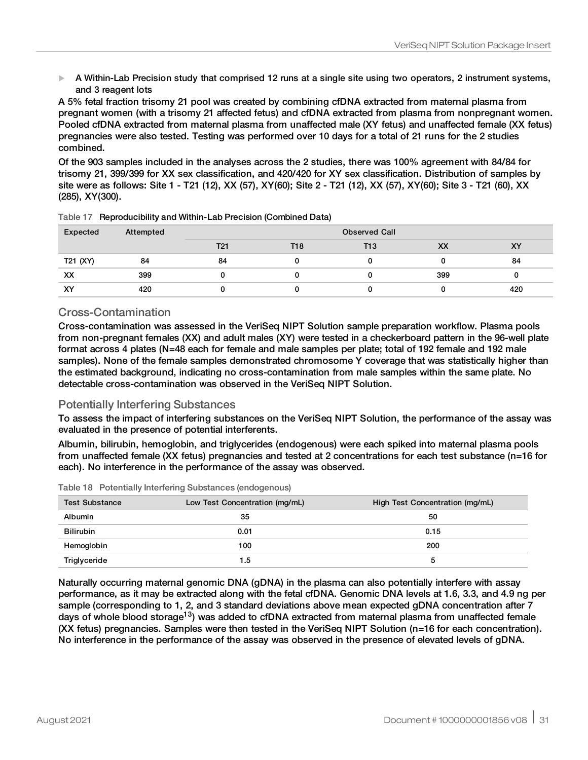$\blacktriangleright$  A Within-Lab Precision study that comprised 12 runs at a single site using two operators, 2 instrument systems, and 3 reagent lots

A 5% fetal fraction trisomy 21 pool was created by combining cfDNA extracted from maternal plasma from pregnant women (with a trisomy 21 affected fetus) and cfDNA extracted from plasma from nonpregnant women. Pooled cfDNA extracted from maternal plasma from unaffected male (XY fetus) and unaffected female (XX fetus) pregnancies were also tested. Testing was performed over 10 days for a total of 21 runs for the 2 studies combined.

Of the 903 samples included in the analyses across the 2 studies, there was 100% agreement with 84/84 for trisomy 21, 399/399 for XX sex classification, and 420/420 for XY sex classification. Distribution of samples by site were as follows: Site 1 - T21 (12), XX (57), XY(60); Site 2 - T21 (12), XX (57), XY(60); Site 3 - T21 (60), XX (285), XY(300).

| Expected | Attempted | <b>Observed Call</b> |     |            |     |     |
|----------|-----------|----------------------|-----|------------|-----|-----|
|          |           | T <sub>21</sub>      | T18 | <b>T13</b> | XX  | XY  |
| T21 (XY) | 84        | 84                   |     |            |     | 84  |
| XX       | 399       |                      |     |            | 399 |     |
| XY       | 420       |                      |     |            |     | 420 |

|  | Table 17 Reproducibility and Within-Lab Precision (Combined Data) |  |
|--|-------------------------------------------------------------------|--|
|--|-------------------------------------------------------------------|--|

#### Cross-Contamination

Cross-contamination was assessed in the VeriSeq NIPT Solution sample preparation workflow. Plasma pools from non-pregnant females (XX) and adult males (XY) were tested in a checkerboard pattern in the 96-well plate format across 4 plates (N=48 each for female and male samples per plate; total of 192 female and 192 male samples). None of the female samples demonstrated chromosome Y coverage that was statistically higher than the estimated background, indicating no cross-contamination from male samples within the same plate. No detectable cross-contamination was observed in the VeriSeq NIPT Solution.

#### Potentially Interfering Substances

To assess the impact of interfering substances on the VeriSeq NIPT Solution, the performance of the assay was evaluated in the presence of potential interferents.

Albumin, bilirubin, hemoglobin, and triglycerides (endogenous) were each spiked into maternal plasma pools from unaffected female (XX fetus) pregnancies and tested at 2 concentrations for each test substance (n=16 for each). No interference in the performance of the assay was observed.

|  |  |  |  | Table 18 Potentially Interfering Substances (endogenous) |
|--|--|--|--|----------------------------------------------------------|
|--|--|--|--|----------------------------------------------------------|

| <b>Test Substance</b> | Low Test Concentration (mg/mL) | High Test Concentration (mg/mL) |
|-----------------------|--------------------------------|---------------------------------|
| <b>Albumin</b>        | 35                             | 50                              |
| <b>Bilirubin</b>      | 0.01                           | 0.15                            |
| Hemoglobin            | 100                            | 200                             |
| Triglyceride          | 1.5                            |                                 |

Naturally occurring maternal genomic DNA (gDNA) in the plasma can also potentially interfere with assay performance, as it may be extracted along with the fetal cfDNA. Genomic DNA levels at 1.6, 3.3, and 4.9 ng per sample (corresponding to 1, 2, and 3 standard deviations above mean expected gDNA concentration after 7 days of whole blood storage<sup>13</sup>) was added to cfDNA extracted from maternal plasma from unaffected female (XX fetus) pregnancies. Samples were then tested in the VeriSeq NIPT Solution (n=16 for each concentration). No interference in the performance of the assay was observed in the presence of elevated levels of gDNA.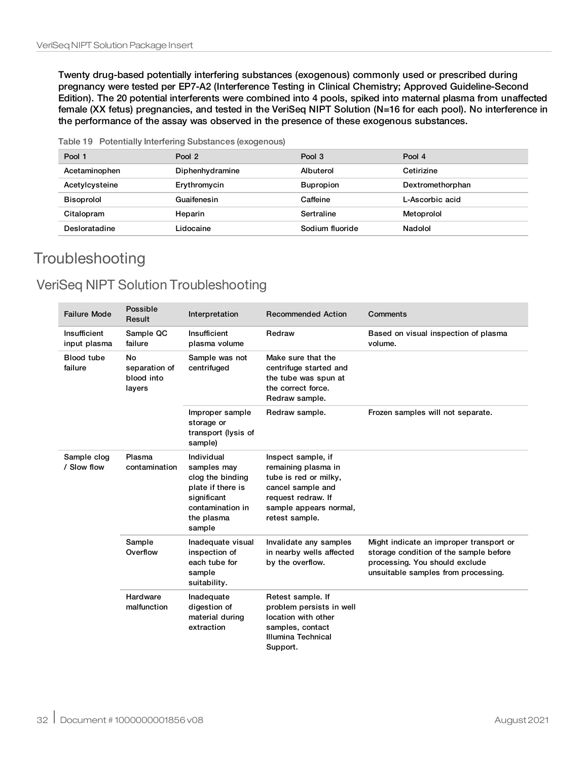Twenty drug-based potentially interfering substances (exogenous) commonly used or prescribed during pregnancy were tested per EP7-A2 (Interference Testing in Clinical Chemistry; Approved Guideline-Second Edition). The 20 potential interferents were combined into 4 pools, spiked into maternal plasma from unaffected female (XX fetus) pregnancies, and tested in the VeriSeq NIPT Solution (N=16 for each pool). No interference in the performance of the assay was observed in the presence of these exogenous substances.

Table 19 Potentially Interfering Substances (exogenous)

| Pool 1            | Pool 2          | Pool 3           | Pool 4           |
|-------------------|-----------------|------------------|------------------|
| Acetaminophen     | Diphenhydramine | Albuterol        | Cetirizine       |
| Acetylcysteine    | Erythromycin    | <b>Bupropion</b> | Dextromethorphan |
| <b>Bisoprolol</b> | Guaifenesin     | Caffeine         | L-Ascorbic acid  |
| Citalopram        | Heparin         | Sertraline       | Metoprolol       |
| Desloratadine     | Lidocaine       | Sodium fluoride  | Nadolol          |

## **Troubleshooting**

## VeriSeq NIPT Solution Troubleshooting

| <b>Failure Mode</b>          | Possible<br>Result                          | Interpretation                                                                                                                | <b>Recommended Action</b>                                                                                                                                 | Comments                                                                                                                                                   |
|------------------------------|---------------------------------------------|-------------------------------------------------------------------------------------------------------------------------------|-----------------------------------------------------------------------------------------------------------------------------------------------------------|------------------------------------------------------------------------------------------------------------------------------------------------------------|
| Insufficient<br>input plasma | Sample QC<br>failure                        | Insufficient<br>plasma volume                                                                                                 | Redraw                                                                                                                                                    | Based on visual inspection of plasma<br>volume.                                                                                                            |
| <b>Blood tube</b><br>failure | No<br>separation of<br>blood into<br>layers | Sample was not<br>centrifuged                                                                                                 | Make sure that the<br>centrifuge started and<br>the tube was spun at<br>the correct force.<br>Redraw sample.                                              |                                                                                                                                                            |
|                              |                                             | Improper sample<br>storage or<br>transport (lysis of<br>sample)                                                               | Redraw sample.                                                                                                                                            | Frozen samples will not separate.                                                                                                                          |
| Sample clog<br>/ Slow flow   | Plasma<br>contamination                     | Individual<br>samples may<br>clog the binding<br>plate if there is<br>significant<br>contamination in<br>the plasma<br>sample | Inspect sample, if<br>remaining plasma in<br>tube is red or milky,<br>cancel sample and<br>request redraw. If<br>sample appears normal,<br>retest sample. |                                                                                                                                                            |
|                              | Sample<br>Overflow                          | Inadequate visual<br>inspection of<br>each tube for<br>sample<br>suitability.                                                 | Invalidate any samples<br>in nearby wells affected<br>by the overflow.                                                                                    | Might indicate an improper transport or<br>storage condition of the sample before<br>processing. You should exclude<br>unsuitable samples from processing. |
|                              | Hardware<br>malfunction                     | Inadequate<br>digestion of<br>material during<br>extraction                                                                   | Retest sample. If<br>problem persists in well<br>location with other<br>samples, contact<br>Illumina Technical<br>Support.                                |                                                                                                                                                            |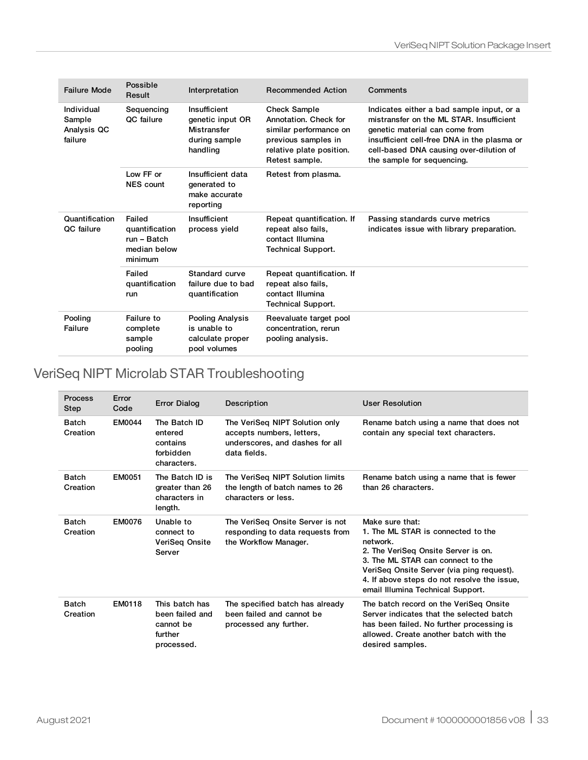| <b>Failure Mode</b>                            | Possible<br>Result                                                 | Interpretation                                                               | <b>Recommended Action</b>                                                                                                                   | Comments                                                                                                                                                                                                                                        |
|------------------------------------------------|--------------------------------------------------------------------|------------------------------------------------------------------------------|---------------------------------------------------------------------------------------------------------------------------------------------|-------------------------------------------------------------------------------------------------------------------------------------------------------------------------------------------------------------------------------------------------|
| Individual<br>Sample<br>Analysis QC<br>failure | Sequencing<br>QC failure                                           | Insufficient<br>genetic input OR<br>Mistransfer<br>during sample<br>handling | <b>Check Sample</b><br>Annotation. Check for<br>similar performance on<br>previous samples in<br>relative plate position.<br>Retest sample. | Indicates either a bad sample input, or a<br>mistransfer on the ML STAR. Insufficient<br>genetic material can come from<br>insufficient cell-free DNA in the plasma or<br>cell-based DNA causing over-dilution of<br>the sample for sequencing. |
|                                                | Low FF or<br><b>NES</b> count                                      | Insufficient data<br>generated to<br>make accurate<br>reporting              | Retest from plasma.                                                                                                                         |                                                                                                                                                                                                                                                 |
| Quantification<br><b>QC</b> failure            | Failed<br>quantification<br>run - Batch<br>median below<br>minimum | Insufficient<br>process yield                                                | Repeat quantification. If<br>repeat also fails,<br>contact Illumina<br><b>Technical Support.</b>                                            | Passing standards curve metrics<br>indicates issue with library preparation.                                                                                                                                                                    |
|                                                | Failed<br>quantification<br>run                                    | Standard curve<br>failure due to bad<br>quantification                       | Repeat quantification. If<br>repeat also fails,<br>contact Illumina<br><b>Technical Support.</b>                                            |                                                                                                                                                                                                                                                 |
| Pooling<br>Failure                             | Failure to<br>complete<br>sample<br>pooling                        | <b>Pooling Analysis</b><br>is unable to<br>calculate proper<br>pool volumes  | Reevaluate target pool<br>concentration, rerun<br>pooling analysis.                                                                         |                                                                                                                                                                                                                                                 |

## VeriSeq NIPT Microlab STAR Troubleshooting

| Process<br>Step          | Error<br>Code | <b>Error Dialog</b>                                                     | Description                                                                                                    | <b>User Resolution</b>                                                                                                                                                                                                                                                         |
|--------------------------|---------------|-------------------------------------------------------------------------|----------------------------------------------------------------------------------------------------------------|--------------------------------------------------------------------------------------------------------------------------------------------------------------------------------------------------------------------------------------------------------------------------------|
| <b>Batch</b><br>Creation | EM0044        | The Batch ID<br>entered<br>contains<br>forbidden<br>characters.         | The VeriSeg NIPT Solution only<br>accepts numbers, letters,<br>underscores, and dashes for all<br>data fields. | Rename batch using a name that does not<br>contain any special text characters.                                                                                                                                                                                                |
| <b>Batch</b><br>Creation | EM0051        | The Batch ID is<br>greater than 26<br>characters in<br>length.          | The VeriSeq NIPT Solution limits<br>the length of batch names to 26<br>characters or less.                     | Rename batch using a name that is fewer<br>than 26 characters.                                                                                                                                                                                                                 |
| <b>Batch</b><br>Creation | <b>EM0076</b> | Unable to<br>connect to<br>VeriSeg Onsite<br>Server                     | The VeriSeg Onsite Server is not<br>responding to data requests from<br>the Workflow Manager.                  | Make sure that:<br>1. The ML STAR is connected to the<br>network.<br>2. The VeriSeq Onsite Server is on.<br>3. The ML STAR can connect to the<br>VeriSeg Onsite Server (via ping request).<br>4. If above steps do not resolve the issue,<br>email Illumina Technical Support. |
| <b>Batch</b><br>Creation | EM0118        | This batch has<br>been failed and<br>cannot be<br>further<br>processed. | The specified batch has already<br>been failed and cannot be<br>processed any further.                         | The batch record on the VeriSeq Onsite<br>Server indicates that the selected batch<br>has been failed. No further processing is<br>allowed. Create another batch with the<br>desired samples.                                                                                  |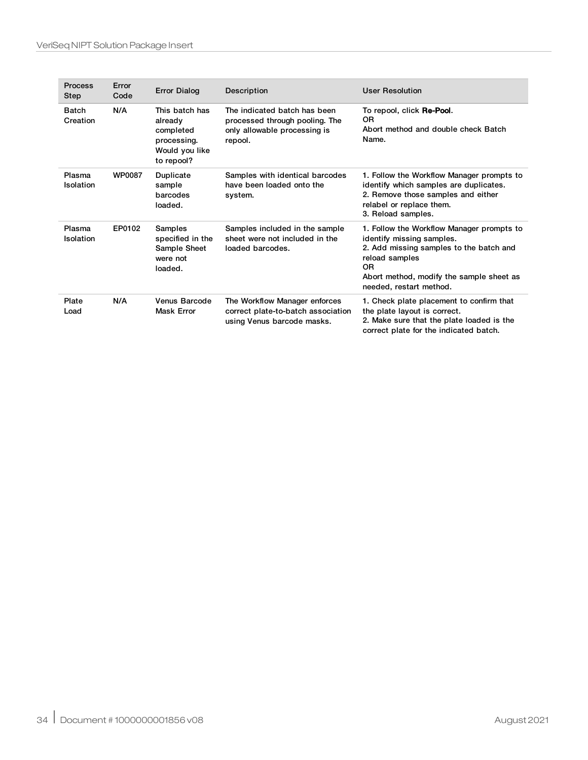| <b>Process</b><br>Step     | Error<br>Code | <b>Error Dialog</b>                                                                   | Description                                                                                               | <b>User Resolution</b>                                                                                                                                                                                           |
|----------------------------|---------------|---------------------------------------------------------------------------------------|-----------------------------------------------------------------------------------------------------------|------------------------------------------------------------------------------------------------------------------------------------------------------------------------------------------------------------------|
| <b>Batch</b><br>Creation   | N/A           | This batch has<br>already<br>completed<br>processing.<br>Would you like<br>to repool? | The indicated batch has been<br>processed through pooling. The<br>only allowable processing is<br>repool. | To repool, click Re-Pool.<br>0R<br>Abort method and double check Batch<br>Name.                                                                                                                                  |
| Plasma<br><b>Isolation</b> | <b>WP0087</b> | Duplicate<br>sample<br>barcodes<br>loaded.                                            | Samples with identical barcodes<br>have been loaded onto the<br>system.                                   | 1. Follow the Workflow Manager prompts to<br>identify which samples are duplicates.<br>2. Remove those samples and either<br>relabel or replace them.<br>3. Reload samples.                                      |
| Plasma<br>Isolation        | EP0102        | Samples<br>specified in the<br>Sample Sheet<br>were not<br>loaded.                    | Samples included in the sample<br>sheet were not included in the<br>loaded barcodes.                      | 1. Follow the Workflow Manager prompts to<br>identify missing samples.<br>2. Add missing samples to the batch and<br>reload samples<br>0R<br>Abort method, modify the sample sheet as<br>needed, restart method. |
| Plate<br>Load              | N/A           | Venus Barcode<br><b>Mask Error</b>                                                    | The Workflow Manager enforces<br>correct plate-to-batch association<br>using Venus barcode masks.         | 1. Check plate placement to confirm that<br>the plate layout is correct.<br>2. Make sure that the plate loaded is the<br>correct plate for the indicated batch.                                                  |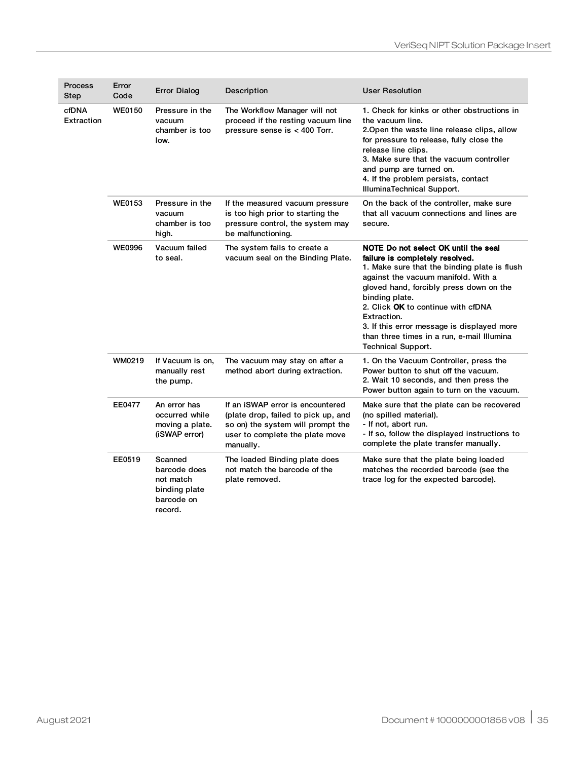| <b>Process</b><br>Step | Error<br>Code | <b>Error Dialog</b>                                                            | Description                                                                                                                                                  | <b>User Resolution</b>                                                                                                                                                                                                                                                                                                                                                                                    |
|------------------------|---------------|--------------------------------------------------------------------------------|--------------------------------------------------------------------------------------------------------------------------------------------------------------|-----------------------------------------------------------------------------------------------------------------------------------------------------------------------------------------------------------------------------------------------------------------------------------------------------------------------------------------------------------------------------------------------------------|
| cfDNA<br>Extraction    | <b>WE0150</b> | Pressure in the<br>vacuum<br>chamber is too<br>low.                            | The Workflow Manager will not<br>proceed if the resting vacuum line<br>pressure sense is $< 400$ Torr.                                                       | 1. Check for kinks or other obstructions in<br>the vacuum line.<br>2. Open the waste line release clips, allow<br>for pressure to release, fully close the<br>release line clips.<br>3. Make sure that the vacuum controller<br>and pump are turned on.<br>4. If the problem persists, contact<br>IlluminaTechnical Support.                                                                              |
|                        | <b>WE0153</b> | Pressure in the<br>vacuum<br>chamber is too<br>high.                           | If the measured vacuum pressure<br>is too high prior to starting the<br>pressure control, the system may<br>be malfunctioning.                               | On the back of the controller, make sure<br>that all vacuum connections and lines are<br>secure.                                                                                                                                                                                                                                                                                                          |
|                        | <b>WE0996</b> | Vacuum failed<br>to seal.                                                      | The system fails to create a<br>vacuum seal on the Binding Plate.                                                                                            | NOTE Do not select OK until the seal<br>failure is completely resolved.<br>1. Make sure that the binding plate is flush<br>against the vacuum manifold. With a<br>gloved hand, forcibly press down on the<br>binding plate.<br>2. Click OK to continue with cfDNA<br>Extraction.<br>3. If this error message is displayed more<br>than three times in a run, e-mail Illumina<br><b>Technical Support.</b> |
|                        | WM0219        | If Vacuum is on,<br>manually rest<br>the pump.                                 | The vacuum may stay on after a<br>method abort during extraction.                                                                                            | 1. On the Vacuum Controller, press the<br>Power button to shut off the vacuum.<br>2. Wait 10 seconds, and then press the<br>Power button again to turn on the vacuum.                                                                                                                                                                                                                                     |
|                        | <b>EE0477</b> | An error has<br>occurred while<br>moving a plate.<br>(iSWAP error)             | If an iSWAP error is encountered<br>(plate drop, failed to pick up, and<br>so on) the system will prompt the<br>user to complete the plate move<br>manually. | Make sure that the plate can be recovered<br>(no spilled material).<br>- If not, abort run.<br>- If so, follow the displayed instructions to<br>complete the plate transfer manually.                                                                                                                                                                                                                     |
|                        | EE0519        | Scanned<br>barcode does<br>not match<br>binding plate<br>barcode on<br>record. | The loaded Binding plate does<br>not match the barcode of the<br>plate removed.                                                                              | Make sure that the plate being loaded<br>matches the recorded barcode (see the<br>trace log for the expected barcode).                                                                                                                                                                                                                                                                                    |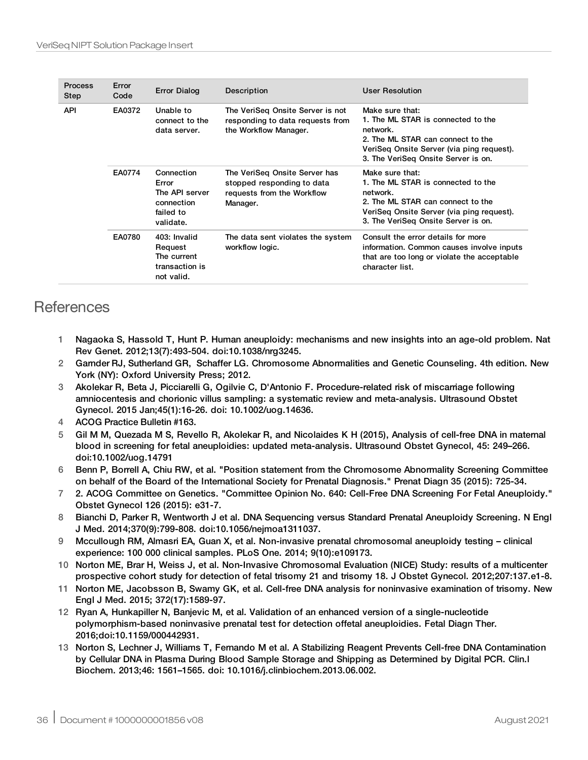| <b>Process</b><br>Step | Error<br>Code | <b>Error Dialog</b>                                                           | Description                                                                                           | <b>User Resolution</b>                                                                                                                                                                     |
|------------------------|---------------|-------------------------------------------------------------------------------|-------------------------------------------------------------------------------------------------------|--------------------------------------------------------------------------------------------------------------------------------------------------------------------------------------------|
| <b>API</b>             | EA0372        | Unable to<br>connect to the<br>data server.                                   | The VeriSeq Onsite Server is not<br>responding to data requests from<br>the Workflow Manager.         | Make sure that:<br>1. The ML STAR is connected to the<br>network.<br>2. The ML STAR can connect to the<br>VeriSeg Onsite Server (via ping request).<br>3. The VeriSeg Onsite Server is on. |
|                        | <b>EA0774</b> | Connection<br>Error<br>The API server<br>connection<br>failed to<br>validate. | The VeriSeg Onsite Server has<br>stopped responding to data<br>requests from the Workflow<br>Manager. | Make sure that:<br>1. The ML STAR is connected to the<br>network.<br>2. The ML STAR can connect to the<br>VeriSeg Onsite Server (via ping request).<br>3. The VeriSeq Onsite Server is on. |
|                        | EA0780        | 403: Invalid<br>Request<br>The current<br>transaction is<br>not valid.        | The data sent violates the system<br>workflow logic.                                                  | Consult the error details for more<br>information. Common causes involve inputs<br>that are too long or violate the acceptable<br>character list.                                          |

## **References**

- 1 Nagaoka S, Hassold T, Hunt P. Human aneuploidy: mechanisms and new insights into an age-old problem. Nat Rev Genet. 2012;13(7):493-504. doi:10.1038/nrg3245.
- 2 Garnder RJ, Sutherland GR, Schaffer LG. Chromosome Abnormalities and Genetic Counseling. 4th edition. New York (NY): Oxford University Press; 2012.
- 3 Akolekar R, Beta J, Picciarelli G, Ogilvie C, D'Antonio F. Procedure-related risk of miscarriage following amniocentesis and chorionic villus sampling: a systematic review and meta-analysis. Ultrasound Obstet Gynecol. 2015 Jan;45(1):16-26. doi: 10.1002/uog.14636.
- 4 ACOG Practice Bulletin #163.
- 5 Gil M M, Quezada M S, Revello R, Akolekar R, and Nicolaides K H (2015), Analysis of cell-free DNA in maternal blood in screening for fetal aneuploidies: updated meta-analysis. Ultrasound Obstet Gynecol, 45: 249–266. doi:10.1002/uog.14791
- 6 Benn P, Borrell A, Chiu RW, et al. "Position statement from the Chromosome Abnormality Screening Committee on behalf of the Board of the International Society for Prenatal Diagnosis." Prenat Diagn 35 (2015): 725-34.
- 7 2. ACOG Committee on Genetics. "Committee Opinion No. 640: Cell-Free DNA Screening For Fetal Aneuploidy." Obstet Gynecol 126 (2015): e31-7.
- 8 Bianchi D, Parker R, Wentworth J et al. DNA Sequencing versus Standard Prenatal Aneuploidy Screening. N Engl J Med. 2014;370(9):799-808. doi:10.1056/nejmoa1311037.
- 9 Mccullough RM, Almasri EA, Guan X, et al. Non-invasive prenatal chromosomal aneuploidy testing clinical experience: 100 000 clinical samples. PLoS One. 2014; 9(10):e109173.
- 10 Norton ME, Brar H, Weiss J, et al. Non-Invasive Chromosomal Evaluation (NICE) Study: results of a multicenter prospective cohort study for detection of fetal trisomy 21 and trisomy 18. J Obstet Gynecol. 2012;207:137.e1-8.
- 11 Norton ME, Jacobsson B, Swamy GK, et al. Cell-free DNA analysis for noninvasive examination of trisomy. New Engl J Med. 2015; 372(17):1589-97.
- 12 Ryan A, Hunkapiller N, Banjevic M, et al. Validation of an enhanced version of a single-nucleotide polymorphism-based noninvasive prenatal test for detection offetal aneuploidies. Fetal Diagn Ther. 2016;doi:10.1159/000442931.
- 13 Norton S, Lechner J, Williams T, Fernando M et al. A Stabilizing Reagent Prevents Cell-free DNA Contamination by Cellular DNA in Plasma During Blood Sample Storage and Shipping as Determined by Digital PCR. Clin.l Biochem. 2013;46: 1561–1565. doi: 10.1016/j.clinbiochem.2013.06.002.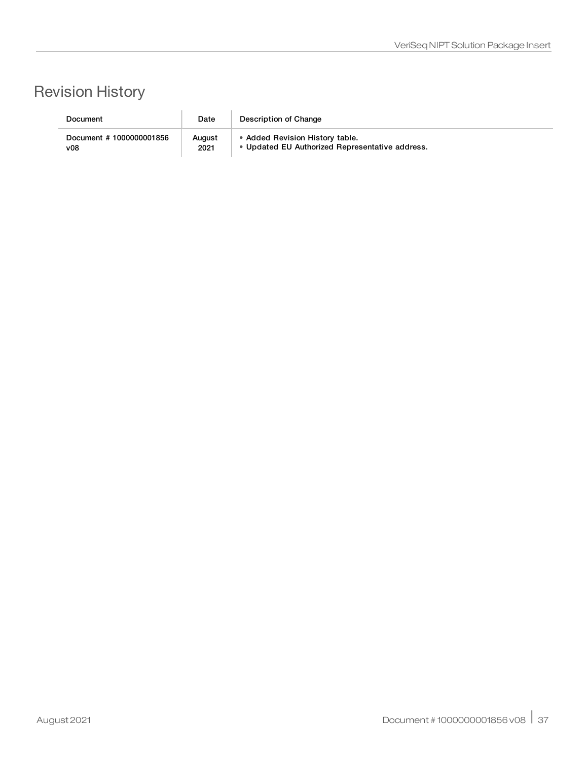# Revision History

| Document                 | Date   | Description of Change                           |
|--------------------------|--------|-------------------------------------------------|
| Document # 1000000001856 | August | • Added Revision History table.                 |
| v08                      | 2021   | • Updated EU Authorized Representative address. |